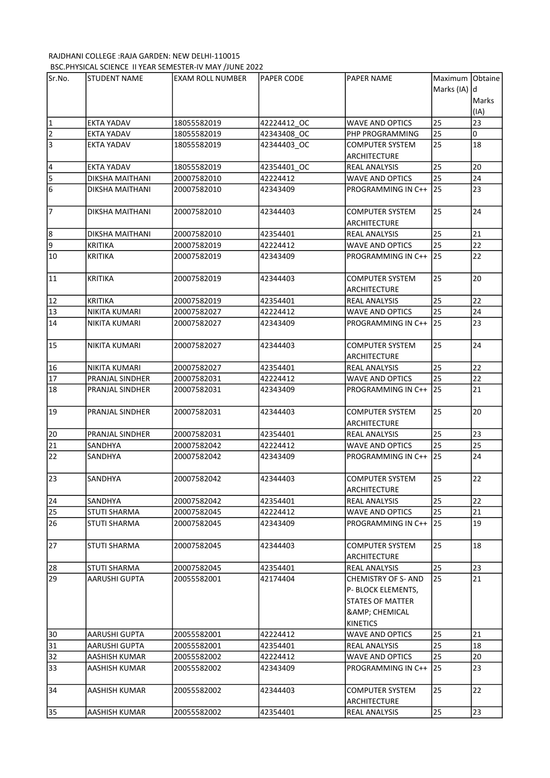## RAJDHANI COLLEGE :RAJA GARDEN: NEW DELHI-110015 BSC.PHYSICAL SCIENCE II YEAR SEMESTER-IV MAY /JUNE 2022

| Sr.No.                      | <b>STUDENT NAME</b>    | <b>EXAM ROLL NUMBER</b> | <b>PAPER CODE</b> | <b>PAPER NAME</b>                      | Maximum Obtaine |       |
|-----------------------------|------------------------|-------------------------|-------------------|----------------------------------------|-----------------|-------|
|                             |                        |                         |                   |                                        | Marks (IA) d    |       |
|                             |                        |                         |                   |                                        |                 | Marks |
|                             |                        |                         |                   |                                        |                 | (IA)  |
|                             | <b>EKTA YADAV</b>      | 18055582019             | 42224412 OC       | <b>WAVE AND OPTICS</b>                 | 25              | 23    |
| $\frac{1}{2}$ $\frac{1}{3}$ | EKTA YADAV             | 18055582019             | 42343408 OC       | PHP PROGRAMMING                        | 25              | 0     |
|                             | EKTA YADAV             | 18055582019             | 42344403_OC       | <b>COMPUTER SYSTEM</b>                 | 25              | 18    |
|                             |                        |                         |                   | <b>ARCHITECTURE</b>                    |                 |       |
|                             | <b>EKTA YADAV</b>      | 18055582019             | 42354401 OC       | REAL ANALYSIS                          | 25              | 20    |
| $\frac{4}{5}$ $\frac{5}{6}$ | DIKSHA MAITHANI        | 20007582010             | 42224412          | <b>WAVE AND OPTICS</b>                 | 25              | 24    |
|                             | <b>DIKSHA MAITHANI</b> | 20007582010             | 42343409          | PROGRAMMING IN C++                     | 25              | 23    |
| 7                           | DIKSHA MAITHANI        | 20007582010             | 42344403          | <b>COMPUTER SYSTEM</b>                 | 25              | 24    |
|                             |                        |                         |                   | ARCHITECTURE                           |                 |       |
| 8                           | <b>DIKSHA MAITHANI</b> | 20007582010             | 42354401          | REAL ANALYSIS                          | 25              | 21    |
| 9                           | <b>KRITIKA</b>         | 20007582019             | 42224412          | <b>WAVE AND OPTICS</b>                 | 25              | 22    |
| 10                          | <b>KRITIKA</b>         | 20007582019             | 42343409          | PROGRAMMING IN C++                     | 25              | 22    |
|                             |                        |                         |                   |                                        |                 |       |
| 11                          | <b>KRITIKA</b>         | 20007582019             | 42344403          | <b>COMPUTER SYSTEM</b>                 | 25              | 20    |
|                             |                        |                         |                   | <b>ARCHITECTURE</b>                    |                 |       |
| 12                          | <b>KRITIKA</b>         | 20007582019             | 42354401          | <b>REAL ANALYSIS</b>                   | 25              | 22    |
| 13                          | NIKITA KUMARI          | 20007582027             | 42224412          | <b>WAVE AND OPTICS</b>                 | 25              | 24    |
| 14                          | NIKITA KUMARI          | 20007582027             | 42343409          | PROGRAMMING IN C++                     | 25              | 23    |
| 15                          | NIKITA KUMARI          | 20007582027             | 42344403          | <b>COMPUTER SYSTEM</b>                 | 25              | 24    |
|                             |                        |                         |                   | ARCHITECTURE                           |                 |       |
| 16                          | NIKITA KUMARI          | 20007582027             | 42354401          | <b>REAL ANALYSIS</b>                   | 25              | 22    |
| 17                          | PRANJAL SINDHER        | 20007582031             | 42224412          | <b>WAVE AND OPTICS</b>                 | 25              | 22    |
| 18                          | PRANJAL SINDHER        | 20007582031             | 42343409          | PROGRAMMING IN C++                     | <b>25</b>       | 21    |
|                             |                        |                         |                   |                                        |                 |       |
| 19                          | PRANJAL SINDHER        | 20007582031             | 42344403          | <b>COMPUTER SYSTEM</b>                 | 25              | 20    |
|                             |                        |                         |                   | <b>ARCHITECTURE</b>                    |                 |       |
| 20                          | PRANJAL SINDHER        | 20007582031             | 42354401          | REAL ANALYSIS                          | 25              | 23    |
| 21                          | SANDHYA                | 20007582042             | 42224412          | <b>WAVE AND OPTICS</b>                 | 25              | 25    |
| 22                          | SANDHYA                | 20007582042             | 42343409          | PROGRAMMING IN C++                     | 25              | 24    |
| $\overline{23}$             | <b>SANDHYA</b>         | 20007582042             | 42344403          | <b>COMPUTER SYSTEM</b>                 | 25              | 22    |
|                             |                        |                         |                   | ARCHITECTURE                           |                 |       |
| 24                          | SANDHYA                | 20007582042             | 42354401          | <b>REAL ANALYSIS</b>                   | 25              | 22    |
| 25                          | <b>STUTI SHARMA</b>    | 20007582045             | 42224412          | <b>WAVE AND OPTICS</b>                 | 25              | 21    |
| 26                          | <b>STUTI SHARMA</b>    | 20007582045             | 42343409          | PROGRAMMING IN C++ 125                 |                 | 19    |
|                             |                        |                         |                   |                                        |                 |       |
| 27                          | <b>STUTI SHARMA</b>    | 20007582045             | 42344403          | <b>COMPUTER SYSTEM</b>                 | 25              | 18    |
|                             |                        |                         |                   | <b>ARCHITECTURE</b>                    |                 |       |
| 28                          | <b>STUTI SHARMA</b>    | 20007582045             | 42354401          | <b>REAL ANALYSIS</b>                   | 25              | 23    |
| 29                          | AARUSHI GUPTA          | 20055582001             | 42174404          | <b>CHEMISTRY OF S- AND</b>             | 25              | 21    |
|                             |                        |                         |                   | P- BLOCK ELEMENTS,                     |                 |       |
|                             |                        |                         |                   | <b>STATES OF MATTER</b>                |                 |       |
|                             |                        |                         |                   | <b>&amp; CHEMICAL</b>                  |                 |       |
|                             |                        |                         |                   | <b>KINETICS</b>                        |                 |       |
| 30                          | AARUSHI GUPTA          | 20055582001             | 42224412          | WAVE AND OPTICS                        | 25              | 21    |
| 31                          | AARUSHI GUPTA          | 20055582001             | 42354401          | <b>REAL ANALYSIS</b>                   | 25              | 18    |
| 32                          | AASHISH KUMAR          | 20055582002             | 42224412          | <b>WAVE AND OPTICS</b>                 | 25              | 20    |
| 33                          | AASHISH KUMAR          | 20055582002             | 42343409          | PROGRAMMING IN C++                     | 25              | 23    |
|                             |                        |                         |                   |                                        |                 |       |
| 34                          | AASHISH KUMAR          | 20055582002             | 42344403          | <b>COMPUTER SYSTEM</b><br>ARCHITECTURE | 25              | 22    |
|                             | AASHISH KUMAR          | 20055582002             | 42354401          | <b>REAL ANALYSIS</b>                   | 25              | 23    |
| 35                          |                        |                         |                   |                                        |                 |       |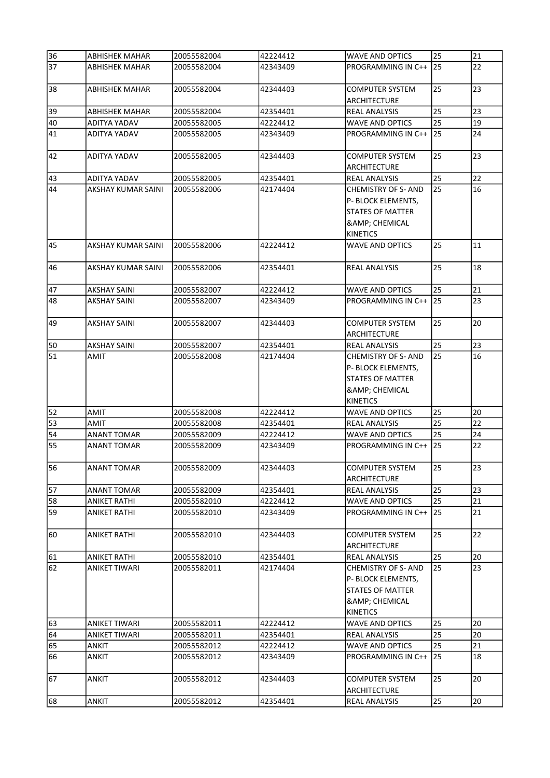| 36       | <b>ABHISHEK MAHAR</b>     | 20055582004                | 42224412 | <b>WAVE AND OPTICS</b>                                                                                           | 25 | 21 |
|----------|---------------------------|----------------------------|----------|------------------------------------------------------------------------------------------------------------------|----|----|
| 37       | <b>ABHISHEK MAHAR</b>     | 20055582004                | 42343409 | PROGRAMMING IN C++                                                                                               | 25 | 22 |
| 38       | ABHISHEK MAHAR            | 20055582004                | 42344403 | <b>COMPUTER SYSTEM</b><br>ARCHITECTURE                                                                           | 25 | 23 |
| 39       | <b>ABHISHEK MAHAR</b>     | 20055582004                | 42354401 | <b>REAL ANALYSIS</b>                                                                                             | 25 | 23 |
| 40       | ADITYA YADAV              | 20055582005                | 42224412 | <b>WAVE AND OPTICS</b>                                                                                           | 25 | 19 |
| 41       | ADITYA YADAV              | 20055582005                | 42343409 | PROGRAMMING IN C++                                                                                               | 25 | 24 |
|          |                           |                            |          |                                                                                                                  |    |    |
| 42       | ADITYA YADAV              | 20055582005                | 42344403 | <b>COMPUTER SYSTEM</b><br><b>ARCHITECTURE</b>                                                                    | 25 | 23 |
|          | ADITYA YADAV              |                            | 42354401 |                                                                                                                  | 25 | 22 |
| 43<br>44 | AKSHAY KUMAR SAINI        | 20055582005<br>20055582006 |          | <b>REAL ANALYSIS</b><br><b>CHEMISTRY OF S- AND</b>                                                               | 25 | 16 |
|          |                           |                            | 42174404 | P- BLOCK ELEMENTS,<br><b>STATES OF MATTER</b><br><b>&amp; CHEMICAL</b>                                           |    |    |
| 45       | AKSHAY KUMAR SAINI        | 20055582006                | 42224412 | <b>KINETICS</b><br><b>WAVE AND OPTICS</b>                                                                        | 25 | 11 |
|          |                           |                            |          |                                                                                                                  |    |    |
| 46       | <b>AKSHAY KUMAR SAINI</b> | 20055582006                | 42354401 | <b>REAL ANALYSIS</b>                                                                                             | 25 | 18 |
| 47       | <b>AKSHAY SAINI</b>       | 20055582007                | 42224412 | <b>WAVE AND OPTICS</b>                                                                                           | 25 | 21 |
| 48       | AKSHAY SAINI              | 20055582007                | 42343409 | PROGRAMMING IN C++                                                                                               | 25 | 23 |
| 49       | <b>AKSHAY SAINI</b>       | 20055582007                | 42344403 | <b>COMPUTER SYSTEM</b><br><b>ARCHITECTURE</b>                                                                    | 25 | 20 |
| 50       | <b>AKSHAY SAINI</b>       | 20055582007                | 42354401 | <b>REAL ANALYSIS</b>                                                                                             | 25 | 23 |
| 51       | AMIT                      | 20055582008                | 42174404 | <b>CHEMISTRY OF S- AND</b><br>P- BLOCK ELEMENTS,<br>STATES OF MATTER<br><b>&amp; CHEMICAL</b><br><b>KINETICS</b> | 25 | 16 |
| 52       | AMIT                      | 20055582008                | 42224412 | <b>WAVE AND OPTICS</b>                                                                                           | 25 | 20 |
| 53       | <b>AMIT</b>               | 20055582008                | 42354401 | <b>REAL ANALYSIS</b>                                                                                             | 25 | 22 |
| 54       | <b>ANANT TOMAR</b>        | 20055582009                | 42224412 | <b>WAVE AND OPTICS</b>                                                                                           | 25 | 24 |
| 55       | <b>ANANT TOMAR</b>        | 20055582009                | 42343409 | PROGRAMMING IN C++                                                                                               | 25 | 22 |
| 56       | ANANT TOMAR               | 20055582009                | 42344403 | <b>COMPUTER SYSTEM</b><br><b>ARCHITECTURE</b>                                                                    | 25 | 23 |
| 57       | <b>ANANT TOMAR</b>        | 20055582009                | 42354401 | <b>REAL ANALYSIS</b>                                                                                             | 25 | 23 |
| 58       | <b>ANIKET RATHI</b>       | 20055582010                | 42224412 | <b>WAVE AND OPTICS</b>                                                                                           | 25 | 21 |
| 59       | ANIKET RATHI              | 20055582010                | 42343409 | PROGRAMMING IN C++                                                                                               | 25 | 21 |
| 60       | <b>ANIKET RATHI</b>       | 20055582010                | 42344403 | <b>COMPUTER SYSTEM</b><br><b>ARCHITECTURE</b>                                                                    | 25 | 22 |
| 61       | <b>ANIKET RATHI</b>       | 20055582010                | 42354401 | <b>REAL ANALYSIS</b>                                                                                             | 25 | 20 |
| 62       | <b>ANIKET TIWARI</b>      | 20055582011                | 42174404 | <b>CHEMISTRY OF S- AND</b><br>P- BLOCK ELEMENTS,<br><b>STATES OF MATTER</b><br><b>&amp; CHEMICAL</b><br>KINETICS | 25 | 23 |
| 63       | <b>ANIKET TIWARI</b>      | 20055582011                | 42224412 | <b>WAVE AND OPTICS</b>                                                                                           | 25 | 20 |
| 64       | <b>ANIKET TIWARI</b>      | 20055582011                | 42354401 | <b>REAL ANALYSIS</b>                                                                                             | 25 | 20 |
| 65       | ANKIT                     | 20055582012                | 42224412 | <b>WAVE AND OPTICS</b>                                                                                           | 25 | 21 |
| 66       | <b>ANKIT</b>              | 20055582012                | 42343409 | PROGRAMMING IN C++                                                                                               | 25 | 18 |
| 67       | <b>ANKIT</b>              | 20055582012                | 42344403 | <b>COMPUTER SYSTEM</b><br>ARCHITECTURE                                                                           | 25 | 20 |
| 68       | <b>ANKIT</b>              | 20055582012                | 42354401 | <b>REAL ANALYSIS</b>                                                                                             | 25 | 20 |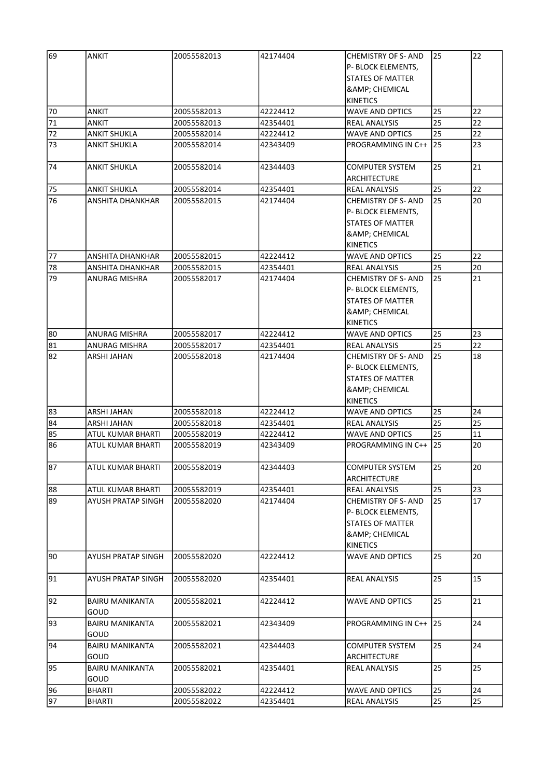| 69     | <b>ANKIT</b>                   | 20055582013 | 42174404 | <b>CHEMISTRY OF S- AND</b>                    | 25 | 22 |
|--------|--------------------------------|-------------|----------|-----------------------------------------------|----|----|
|        |                                |             |          | P- BLOCK ELEMENTS,                            |    |    |
|        |                                |             |          | <b>STATES OF MATTER</b>                       |    |    |
|        |                                |             |          | <b>&amp; CHEMICAL</b>                         |    |    |
|        |                                |             |          | <b>KINETICS</b>                               |    |    |
| 70     | ANKIT                          | 20055582013 | 42224412 | <b>WAVE AND OPTICS</b>                        | 25 | 22 |
| $71\,$ | ANKIT                          | 20055582013 | 42354401 | <b>REAL ANALYSIS</b>                          | 25 | 22 |
| 72     | <b>ANKIT SHUKLA</b>            | 20055582014 | 42224412 | WAVE AND OPTICS                               | 25 | 22 |
| 73     | <b>ANKIT SHUKLA</b>            | 20055582014 | 42343409 | PROGRAMMING IN C++                            | 25 | 23 |
| 74     | <b>ANKIT SHUKLA</b>            | 20055582014 | 42344403 | <b>COMPUTER SYSTEM</b>                        | 25 | 21 |
|        |                                |             |          | ARCHITECTURE                                  |    |    |
| 75     | <b>ANKIT SHUKLA</b>            | 20055582014 | 42354401 | REAL ANALYSIS                                 | 25 | 22 |
| 76     | ANSHITA DHANKHAR               | 20055582015 | 42174404 | <b>CHEMISTRY OF S- AND</b>                    | 25 | 20 |
|        |                                |             |          | P- BLOCK ELEMENTS,                            |    |    |
|        |                                |             |          | <b>STATES OF MATTER</b>                       |    |    |
|        |                                |             |          | & CHEMICAL                                    |    |    |
|        |                                |             |          | <b>KINETICS</b>                               |    |    |
| 77     | ANSHITA DHANKHAR               | 20055582015 | 42224412 | WAVE AND OPTICS                               | 25 | 22 |
| 78     | ANSHITA DHANKHAR               | 20055582015 | 42354401 | REAL ANALYSIS                                 | 25 | 20 |
| 79     | ANURAG MISHRA                  | 20055582017 | 42174404 | <b>CHEMISTRY OF S- AND</b>                    | 25 | 21 |
|        |                                |             |          | P- BLOCK ELEMENTS,                            |    |    |
|        |                                |             |          | <b>STATES OF MATTER</b>                       |    |    |
|        |                                |             |          | & CHEMICAL                                    |    |    |
|        |                                |             |          | <b>KINETICS</b>                               |    |    |
|        |                                |             |          |                                               |    |    |
| 80     | <b>ANURAG MISHRA</b>           | 20055582017 | 42224412 | <b>WAVE AND OPTICS</b>                        | 25 | 23 |
| 81     | <b>ANURAG MISHRA</b>           | 20055582017 | 42354401 | <b>REAL ANALYSIS</b>                          | 25 | 22 |
| 82     | ARSHI JAHAN                    | 20055582018 | 42174404 | <b>CHEMISTRY OF S- AND</b>                    | 25 | 18 |
|        |                                |             |          | P- BLOCK ELEMENTS,                            |    |    |
|        |                                |             |          | <b>STATES OF MATTER</b>                       |    |    |
|        |                                |             |          | & CHEMICAL                                    |    |    |
|        |                                |             |          | <b>KINETICS</b>                               |    |    |
| 83     | ARSHI JAHAN                    | 20055582018 | 42224412 | <b>WAVE AND OPTICS</b>                        | 25 | 24 |
| 84     | ARSHI JAHAN                    | 20055582018 | 42354401 | REAL ANALYSIS                                 | 25 | 25 |
| 85     | ATUL KUMAR BHARTI              | 20055582019 | 42224412 | WAVE AND OPTICS                               | 25 | 11 |
| 86     | <b>ATUL KUMAR BHARTI</b>       | 20055582019 | 42343409 | PROGRAMMING IN C++                            | 25 | 20 |
| 87     | ATUL KUMAR BHARTI              | 20055582019 | 42344403 | <b>COMPUTER SYSTEM</b>                        | 25 | 20 |
|        |                                |             |          | ARCHITECTURE                                  |    |    |
| 88     | ATUL KUMAR BHARTI              | 20055582019 | 42354401 | <b>REAL ANALYSIS</b>                          | 25 | 23 |
| 89     | <b>AYUSH PRATAP SINGH</b>      | 20055582020 | 42174404 | <b>CHEMISTRY OF S-AND</b>                     | 25 | 17 |
|        |                                |             |          | P- BLOCK ELEMENTS,                            |    |    |
|        |                                |             |          | STATES OF MATTER                              |    |    |
|        |                                |             |          | <b>&amp; CHEMICAL</b>                         |    |    |
|        |                                |             |          | <b>KINETICS</b>                               |    |    |
| 90     | <b>AYUSH PRATAP SINGH</b>      | 20055582020 | 42224412 | WAVE AND OPTICS                               | 25 | 20 |
| 91     | AYUSH PRATAP SINGH             | 20055582020 | 42354401 | <b>REAL ANALYSIS</b>                          | 25 | 15 |
|        |                                |             |          |                                               |    |    |
| 92     | <b>BAIRU MANIKANTA</b><br>GOUD | 20055582021 | 42224412 | WAVE AND OPTICS                               | 25 | 21 |
| 93     | BAIRU MANIKANTA                | 20055582021 | 42343409 | PROGRAMMING IN C++                            | 25 | 24 |
|        | GOUD                           |             |          |                                               |    |    |
| 94     | <b>BAIRU MANIKANTA</b><br>GOUD | 20055582021 | 42344403 | <b>COMPUTER SYSTEM</b><br><b>ARCHITECTURE</b> | 25 | 24 |
| 95     | BAIRU MANIKANTA<br>GOUD        | 20055582021 | 42354401 | <b>REAL ANALYSIS</b>                          | 25 | 25 |
| 96     | <b>BHARTI</b>                  | 20055582022 | 42224412 | <b>WAVE AND OPTICS</b>                        | 25 | 24 |
| 97     | BHARTI                         | 20055582022 | 42354401 | <b>REAL ANALYSIS</b>                          | 25 | 25 |
|        |                                |             |          |                                               |    |    |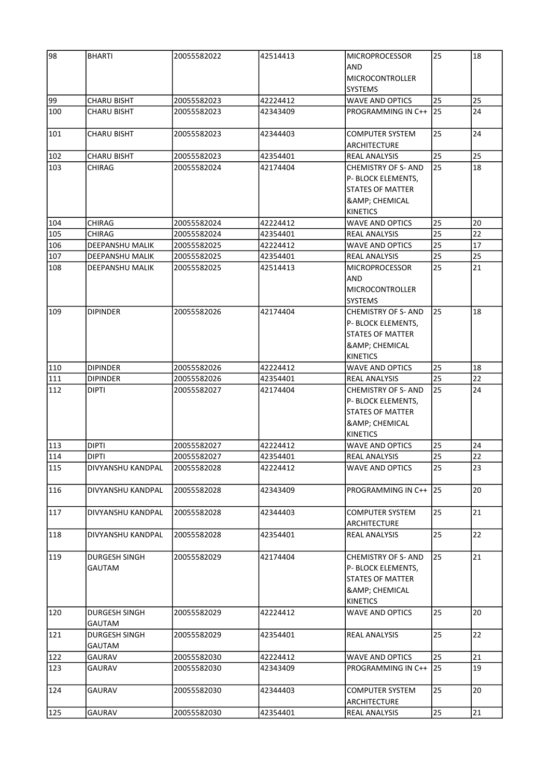| 98  | <b>BHARTI</b>      | 20055582022 | 42514413 | <b>MICROPROCESSOR</b>      | 25 | 18 |
|-----|--------------------|-------------|----------|----------------------------|----|----|
|     |                    |             |          | <b>AND</b>                 |    |    |
|     |                    |             |          | MICROCONTROLLER            |    |    |
|     |                    |             |          | <b>SYSTEMS</b>             |    |    |
| 99  | <b>CHARU BISHT</b> | 20055582023 | 42224412 | <b>WAVE AND OPTICS</b>     | 25 | 25 |
| 100 | CHARU BISHT        | 20055582023 | 42343409 | PROGRAMMING IN C++ 125     |    | 24 |
|     |                    |             |          |                            |    |    |
| 101 | <b>CHARU BISHT</b> | 20055582023 | 42344403 | <b>COMPUTER SYSTEM</b>     | 25 | 24 |
|     |                    |             |          | <b>ARCHITECTURE</b>        |    |    |
| 102 | <b>CHARU BISHT</b> | 20055582023 | 42354401 | <b>REAL ANALYSIS</b>       | 25 | 25 |
| 103 | CHIRAG             | 20055582024 | 42174404 | <b>CHEMISTRY OF S- AND</b> | 25 | 18 |
|     |                    |             |          | P- BLOCK ELEMENTS,         |    |    |
|     |                    |             |          | <b>STATES OF MATTER</b>    |    |    |
|     |                    |             |          | <b>&amp; CHEMICAL</b>      |    |    |
|     |                    |             |          | <b>KINETICS</b>            |    |    |
| 104 | <b>CHIRAG</b>      | 20055582024 | 42224412 | <b>WAVE AND OPTICS</b>     | 25 | 20 |
| 105 | <b>CHIRAG</b>      | 20055582024 | 42354401 | <b>REAL ANALYSIS</b>       | 25 | 22 |
| 106 | DEEPANSHU MALIK    | 20055582025 | 42224412 | <b>WAVE AND OPTICS</b>     | 25 | 17 |
| 107 | DEEPANSHU MALIK    | 20055582025 | 42354401 | <b>REAL ANALYSIS</b>       | 25 | 25 |
| 108 | DEEPANSHU MALIK    | 20055582025 | 42514413 | <b>MICROPROCESSOR</b>      | 25 | 21 |
|     |                    |             |          | <b>AND</b>                 |    |    |
|     |                    |             |          |                            |    |    |
|     |                    |             |          | <b>MICROCONTROLLER</b>     |    |    |
|     |                    |             |          | <b>SYSTEMS</b>             |    |    |
| 109 | <b>DIPINDER</b>    | 20055582026 | 42174404 | <b>CHEMISTRY OF S- AND</b> | 25 | 18 |
|     |                    |             |          | P- BLOCK ELEMENTS,         |    |    |
|     |                    |             |          | <b>STATES OF MATTER</b>    |    |    |
|     |                    |             |          | <b>&amp; CHEMICAL</b>      |    |    |
|     |                    |             |          | KINETICS                   |    |    |
| 110 | <b>DIPINDER</b>    | 20055582026 | 42224412 | <b>WAVE AND OPTICS</b>     | 25 | 18 |
| 111 | <b>DIPINDER</b>    | 20055582026 | 42354401 | <b>REAL ANALYSIS</b>       | 25 | 22 |
| 112 | <b>DIPTI</b>       | 20055582027 | 42174404 | <b>CHEMISTRY OF S- AND</b> | 25 | 24 |
|     |                    |             |          | P- BLOCK ELEMENTS,         |    |    |
|     |                    |             |          | <b>STATES OF MATTER</b>    |    |    |
|     |                    |             |          | <b>&amp; CHEMICAL</b>      |    |    |
|     |                    |             |          | KINETICS                   |    |    |
| 113 | <b>DIPTI</b>       | 20055582027 | 42224412 | <b>WAVE AND OPTICS</b>     | 25 | 24 |
| 114 | <b>DIPTI</b>       | 20055582027 | 42354401 | <b>REAL ANALYSIS</b>       | 25 | 22 |
| 115 | DIVYANSHU KANDPAL  | 20055582028 | 42224412 | WAVE AND OPTICS            | 25 | 23 |
|     |                    |             |          |                            |    |    |
| 116 | DIVYANSHU KANDPAL  | 20055582028 | 42343409 | PROGRAMMING IN C++ 25      |    | 20 |
|     |                    |             |          |                            |    |    |
| 117 | DIVYANSHU KANDPAL  | 20055582028 | 42344403 | <b>COMPUTER SYSTEM</b>     | 25 | 21 |
|     |                    |             |          | <b>ARCHITECTURE</b>        |    |    |
| 118 | DIVYANSHU KANDPAL  | 20055582028 | 42354401 | REAL ANALYSIS              | 25 | 22 |
|     |                    |             |          |                            |    |    |
| 119 | DURGESH SINGH      | 20055582029 | 42174404 | <b>CHEMISTRY OF S- AND</b> | 25 | 21 |
|     | GAUTAM             |             |          | P- BLOCK ELEMENTS,         |    |    |
|     |                    |             |          | <b>STATES OF MATTER</b>    |    |    |
|     |                    |             |          | & CHEMICAL                 |    |    |
|     |                    |             |          | <b>KINETICS</b>            |    |    |
| 120 | DURGESH SINGH      | 20055582029 | 42224412 | <b>WAVE AND OPTICS</b>     | 25 | 20 |
|     | GAUTAM             |             |          |                            |    |    |
| 121 | DURGESH SINGH      | 20055582029 | 42354401 | <b>REAL ANALYSIS</b>       | 25 | 22 |
|     | GAUTAM             |             |          |                            |    |    |
| 122 | GAURAV             | 20055582030 | 42224412 | <b>WAVE AND OPTICS</b>     | 25 | 21 |
| 123 | GAURAV             | 20055582030 | 42343409 | PROGRAMMING IN C++         | 25 | 19 |
|     |                    |             |          |                            |    |    |
| 124 | GAURAV             | 20055582030 | 42344403 | <b>COMPUTER SYSTEM</b>     | 25 | 20 |
|     |                    |             |          | <b>ARCHITECTURE</b>        |    |    |
| 125 | GAURAV             | 20055582030 | 42354401 | <b>REAL ANALYSIS</b>       | 25 | 21 |
|     |                    |             |          |                            |    |    |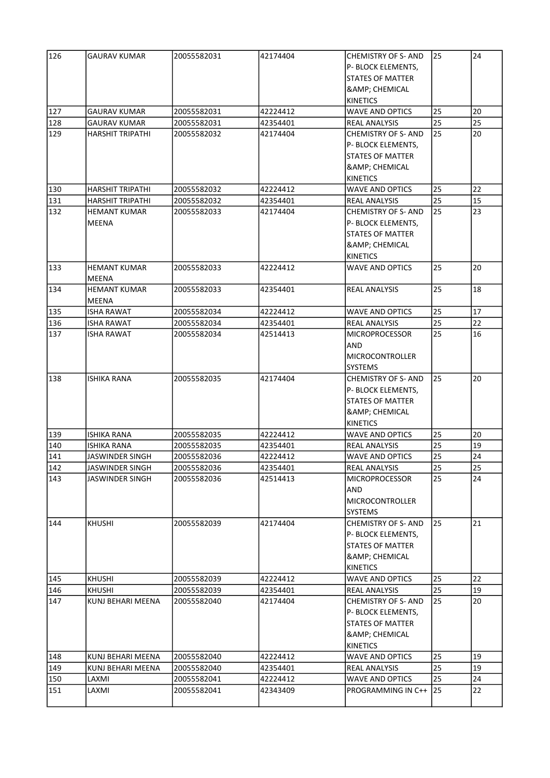| 126 | GAURAV KUMAR            | 20055582031 | 42174404 | <b>CHEMISTRY OF S- AND</b><br>P- BLOCK ELEMENTS, | 25 | 24 |
|-----|-------------------------|-------------|----------|--------------------------------------------------|----|----|
|     |                         |             |          | <b>STATES OF MATTER</b>                          |    |    |
|     |                         |             |          | <b>&amp; CHEMICAL</b>                            |    |    |
|     |                         |             |          | <b>KINETICS</b>                                  |    |    |
| 127 | GAURAV KUMAR            | 20055582031 | 42224412 | <b>WAVE AND OPTICS</b>                           | 25 | 20 |
| 128 | GAURAV KUMAR            | 20055582031 | 42354401 | <b>REAL ANALYSIS</b>                             | 25 | 25 |
| 129 | HARSHIT TRIPATHI        | 20055582032 | 42174404 | <b>CHEMISTRY OF S- AND</b>                       | 25 | 20 |
|     |                         |             |          | P- BLOCK ELEMENTS,                               |    |    |
|     |                         |             |          | <b>STATES OF MATTER</b>                          |    |    |
|     |                         |             |          | <b>&amp; CHEMICAL</b>                            |    |    |
|     |                         |             |          | <b>KINETICS</b>                                  |    |    |
| 130 | <b>HARSHIT TRIPATHI</b> | 20055582032 | 42224412 | <b>WAVE AND OPTICS</b>                           | 25 | 22 |
| 131 | HARSHIT TRIPATHI        | 20055582032 | 42354401 | <b>REAL ANALYSIS</b>                             | 25 | 15 |
| 132 | <b>HEMANT KUMAR</b>     | 20055582033 | 42174404 | <b>CHEMISTRY OF S- AND</b>                       | 25 | 23 |
|     | MEENA                   |             |          | P- BLOCK ELEMENTS,                               |    |    |
|     |                         |             |          | <b>STATES OF MATTER</b>                          |    |    |
|     |                         |             |          | <b>&amp; CHEMICAL</b>                            |    |    |
|     |                         |             |          | <b>KINETICS</b>                                  |    |    |
| 133 | <b>HEMANT KUMAR</b>     | 20055582033 | 42224412 | <b>WAVE AND OPTICS</b>                           | 25 | 20 |
|     | MEENA                   |             |          |                                                  |    |    |
| 134 | <b>HEMANT KUMAR</b>     | 20055582033 | 42354401 | <b>REAL ANALYSIS</b>                             | 25 | 18 |
|     | <b>MEENA</b>            |             |          |                                                  |    |    |
| 135 | <b>ISHA RAWAT</b>       | 20055582034 | 42224412 | <b>WAVE AND OPTICS</b>                           | 25 | 17 |
| 136 | <b>ISHA RAWAT</b>       | 20055582034 | 42354401 | <b>REAL ANALYSIS</b>                             | 25 | 22 |
| 137 | <b>ISHA RAWAT</b>       | 20055582034 | 42514413 | <b>MICROPROCESSOR</b>                            | 25 | 16 |
|     |                         |             |          | AND                                              |    |    |
|     |                         |             |          | MICROCONTROLLER                                  |    |    |
|     |                         |             |          | <b>SYSTEMS</b>                                   |    |    |
| 138 | <b>ISHIKA RANA</b>      | 20055582035 | 42174404 | <b>CHEMISTRY OF S- AND</b>                       | 25 | 20 |
|     |                         |             |          | P- BLOCK ELEMENTS,                               |    |    |
|     |                         |             |          | <b>STATES OF MATTER</b>                          |    |    |
|     |                         |             |          | <b>&amp; CHEMICAL</b>                            |    |    |
|     |                         |             |          | <b>KINETICS</b>                                  |    |    |
| 139 | <b>ISHIKA RANA</b>      | 20055582035 | 42224412 | <b>WAVE AND OPTICS</b>                           | 25 | 20 |
| 140 | <b>ISHIKA RANA</b>      | 20055582035 | 42354401 | <b>REAL ANALYSIS</b>                             | 25 | 19 |
| 141 | JASWINDER SINGH         | 20055582036 | 42224412 | <b>WAVE AND OPTICS</b>                           | 25 | 24 |
| 142 | JASWINDER SINGH         | 20055582036 | 42354401 | <b>REAL ANALYSIS</b>                             | 25 | 25 |
| 143 | JASWINDER SINGH         | 20055582036 | 42514413 | <b>MICROPROCESSOR</b>                            | 25 | 24 |
|     |                         |             |          | AND                                              |    |    |
|     |                         |             |          | <b>MICROCONTROLLER</b>                           |    |    |
|     |                         |             |          | <b>SYSTEMS</b>                                   |    |    |
| 144 | <b>KHUSHI</b>           | 20055582039 | 42174404 | <b>CHEMISTRY OF S- AND</b>                       | 25 | 21 |
|     |                         |             |          | P- BLOCK ELEMENTS,                               |    |    |
|     |                         |             |          | STATES OF MATTER                                 |    |    |
|     |                         |             |          | <b>&amp;</b> ; CHEMICAL                          |    |    |
|     |                         |             |          | <b>KINETICS</b>                                  |    |    |
| 145 | <b>KHUSHI</b>           | 20055582039 | 42224412 | <b>WAVE AND OPTICS</b>                           | 25 | 22 |
| 146 | <b>KHUSHI</b>           | 20055582039 | 42354401 | <b>REAL ANALYSIS</b>                             | 25 | 19 |
| 147 | KUNJ BEHARI MEENA       | 20055582040 | 42174404 | <b>CHEMISTRY OF S- AND</b>                       | 25 | 20 |
|     |                         |             |          | P- BLOCK ELEMENTS,                               |    |    |
|     |                         |             |          | <b>STATES OF MATTER</b>                          |    |    |
|     |                         |             |          | <b>&amp; CHEMICAL</b>                            |    |    |
|     |                         |             |          | KINETICS                                         |    |    |
| 148 | KUNJ BEHARI MEENA       | 20055582040 | 42224412 | <b>WAVE AND OPTICS</b>                           | 25 | 19 |
| 149 | KUNJ BEHARI MEENA       | 20055582040 | 42354401 | <b>REAL ANALYSIS</b>                             | 25 | 19 |
| 150 | LAXMI                   | 20055582041 | 42224412 | <b>WAVE AND OPTICS</b>                           | 25 | 24 |
| 151 | LAXMI                   | 20055582041 | 42343409 | PROGRAMMING IN C++                               | 25 | 22 |
|     |                         |             |          |                                                  |    |    |
|     |                         |             |          |                                                  |    |    |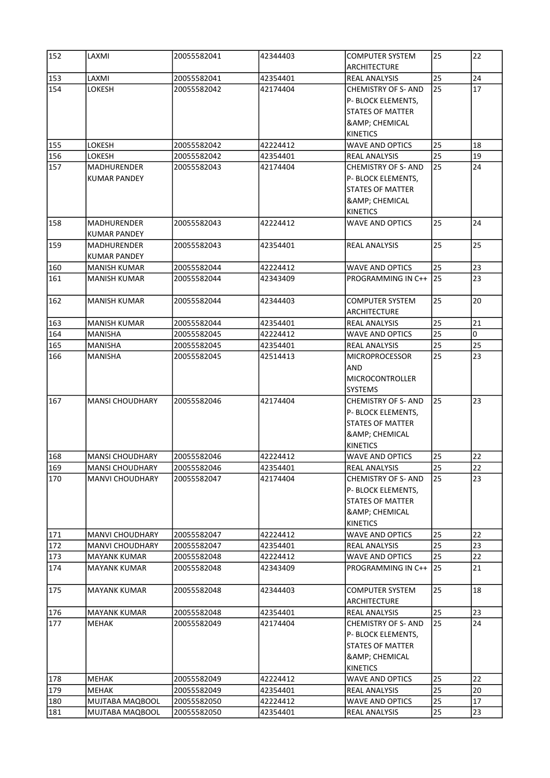| 152 | LAXMI                  | 20055582041 | 42344403 | <b>COMPUTER SYSTEM</b>     | 25 | 22 |
|-----|------------------------|-------------|----------|----------------------------|----|----|
|     |                        |             |          | <b>ARCHITECTURE</b>        |    |    |
| 153 | LAXMI                  | 20055582041 | 42354401 | REAL ANALYSIS              | 25 | 24 |
| 154 | LOKESH                 | 20055582042 | 42174404 | <b>CHEMISTRY OF S- AND</b> | 25 | 17 |
|     |                        |             |          | P- BLOCK ELEMENTS,         |    |    |
|     |                        |             |          | <b>STATES OF MATTER</b>    |    |    |
|     |                        |             |          | <b>&amp; CHEMICAL</b>      |    |    |
|     |                        |             |          | <b>KINETICS</b>            |    |    |
| 155 | <b>LOKESH</b>          | 20055582042 | 42224412 | <b>WAVE AND OPTICS</b>     | 25 | 18 |
| 156 | LOKESH                 | 20055582042 | 42354401 | <b>REAL ANALYSIS</b>       | 25 | 19 |
| 157 | <b>MADHURENDER</b>     | 20055582043 | 42174404 | <b>CHEMISTRY OF S- AND</b> | 25 | 24 |
|     | <b>KUMAR PANDEY</b>    |             |          | P- BLOCK ELEMENTS,         |    |    |
|     |                        |             |          | <b>STATES OF MATTER</b>    |    |    |
|     |                        |             |          | <b>&amp; CHEMICAL</b>      |    |    |
|     |                        |             |          | <b>KINETICS</b>            |    |    |
| 158 | MADHURENDER            | 20055582043 | 42224412 | <b>WAVE AND OPTICS</b>     | 25 | 24 |
|     | <b>KUMAR PANDEY</b>    |             |          |                            |    |    |
| 159 | MADHURENDER            | 20055582043 | 42354401 | <b>REAL ANALYSIS</b>       | 25 | 25 |
|     | <b>KUMAR PANDEY</b>    |             |          |                            |    |    |
| 160 | MANISH KUMAR           | 20055582044 | 42224412 | <b>WAVE AND OPTICS</b>     | 25 | 23 |
| 161 |                        | 20055582044 | 42343409 | PROGRAMMING IN C++         | 25 | 23 |
|     | <b>MANISH KUMAR</b>    |             |          |                            |    |    |
|     |                        |             |          |                            |    |    |
| 162 | <b>MANISH KUMAR</b>    | 20055582044 | 42344403 | <b>COMPUTER SYSTEM</b>     | 25 | 20 |
|     |                        |             |          | <b>ARCHITECTURE</b>        |    |    |
| 163 | <b>MANISH KUMAR</b>    | 20055582044 | 42354401 | <b>REAL ANALYSIS</b>       | 25 | 21 |
| 164 | <b>MANISHA</b>         | 20055582045 | 42224412 | <b>WAVE AND OPTICS</b>     | 25 | 0  |
| 165 | <b>MANISHA</b>         | 20055582045 | 42354401 | <b>REAL ANALYSIS</b>       | 25 | 25 |
| 166 | <b>MANISHA</b>         | 20055582045 | 42514413 | <b>MICROPROCESSOR</b>      | 25 | 23 |
|     |                        |             |          | AND                        |    |    |
|     |                        |             |          | <b>MICROCONTROLLER</b>     |    |    |
|     |                        |             |          | <b>SYSTEMS</b>             |    |    |
| 167 | <b>MANSI CHOUDHARY</b> | 20055582046 | 42174404 | <b>CHEMISTRY OF S- AND</b> | 25 | 23 |
|     |                        |             |          | P- BLOCK ELEMENTS,         |    |    |
|     |                        |             |          | <b>STATES OF MATTER</b>    |    |    |
|     |                        |             |          | & CHEMICAL                 |    |    |
|     |                        |             |          | <b>KINETICS</b>            |    |    |
| 168 | <b>MANSI CHOUDHARY</b> | 20055582046 | 42224412 | <b>WAVE AND OPTICS</b>     | 25 | 22 |
| 169 | <b>MANSI CHOUDHARY</b> | 20055582046 | 42354401 | <b>REAL ANALYSIS</b>       | 25 | 22 |
| 170 | <b>MANVI CHOUDHARY</b> | 20055582047 | 42174404 | <b>CHEMISTRY OF S- AND</b> | 25 | 23 |
|     |                        |             |          | P- BLOCK ELEMENTS,         |    |    |
|     |                        |             |          | <b>STATES OF MATTER</b>    |    |    |
|     |                        |             |          | <b>&amp; CHEMICAL</b>      |    |    |
|     |                        |             |          | <b>KINETICS</b>            |    |    |
| 171 | MANVI CHOUDHARY        | 20055582047 | 42224412 | WAVE AND OPTICS            | 25 | 22 |
| 172 | MANVI CHOUDHARY        | 20055582047 | 42354401 | <b>REAL ANALYSIS</b>       | 25 | 23 |
| 173 | <b>MAYANK KUMAR</b>    | 20055582048 | 42224412 | <b>WAVE AND OPTICS</b>     | 25 | 22 |
| 174 | <b>MAYANK KUMAR</b>    | 20055582048 | 42343409 | PROGRAMMING IN C++         | 25 | 21 |
|     |                        |             |          |                            |    |    |
| 175 | MAYANK KUMAR           | 20055582048 | 42344403 | <b>COMPUTER SYSTEM</b>     | 25 | 18 |
|     |                        |             |          | <b>ARCHITECTURE</b>        |    |    |
| 176 | <b>MAYANK KUMAR</b>    | 20055582048 | 42354401 | <b>REAL ANALYSIS</b>       | 25 | 23 |
| 177 | MEHAK                  | 20055582049 | 42174404 | <b>CHEMISTRY OF S- AND</b> | 25 | 24 |
|     |                        |             |          | P- BLOCK ELEMENTS,         |    |    |
|     |                        |             |          | STATES OF MATTER           |    |    |
|     |                        |             |          |                            |    |    |
|     |                        |             |          | <b>&amp; CHEMICAL</b>      |    |    |
|     |                        |             |          | <b>KINETICS</b>            |    |    |
| 178 | MEHAK                  | 20055582049 | 42224412 | WAVE AND OPTICS            | 25 | 22 |
| 179 | MEHAK                  | 20055582049 | 42354401 | <b>REAL ANALYSIS</b>       | 25 | 20 |
| 180 | MUJTABA MAQBOOL        | 20055582050 | 42224412 | <b>WAVE AND OPTICS</b>     | 25 | 17 |
| 181 | MUJTABA MAQBOOL        | 20055582050 | 42354401 | <b>REAL ANALYSIS</b>       | 25 | 23 |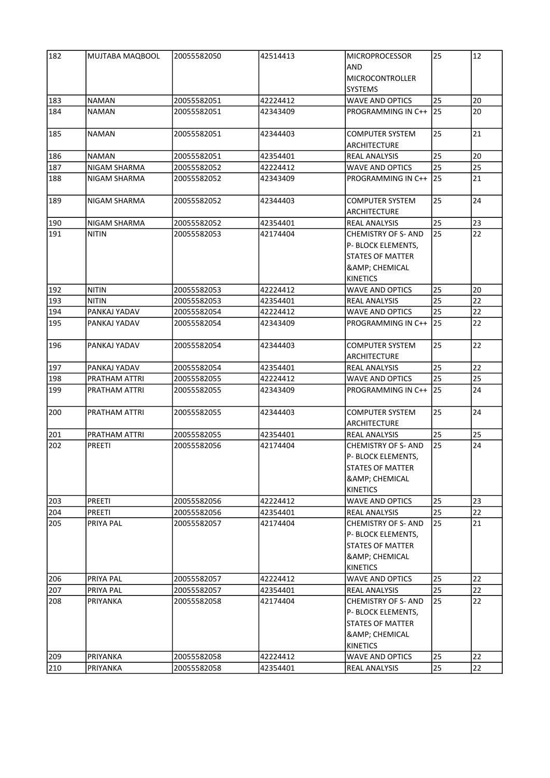| AND<br><b>MICROCONTROLLER</b><br><b>SYSTEMS</b><br>183<br><b>NAMAN</b><br>20055582051<br>42224412<br><b>WAVE AND OPTICS</b><br>25<br>184<br>PROGRAMMING IN C++ 25<br><b>NAMAN</b><br>20055582051<br>42343409<br>185<br><b>NAMAN</b><br>20055582051<br>42344403<br><b>COMPUTER SYSTEM</b><br>25<br><b>ARCHITECTURE</b><br>25<br>186<br><b>NAMAN</b><br>20055582051<br>42354401<br><b>REAL ANALYSIS</b><br>187<br>NIGAM SHARMA<br>20055582052<br>42224412<br><b>WAVE AND OPTICS</b><br>25<br>25<br>188<br>PROGRAMMING IN C++ 25<br>21<br>NIGAM SHARMA<br>20055582052<br>42343409<br>25<br>189<br>20055582052<br><b>COMPUTER SYSTEM</b><br>NIGAM SHARMA<br>42344403<br>ARCHITECTURE<br>25<br>190<br>23<br>NIGAM SHARMA<br>20055582052<br>42354401<br><b>REAL ANALYSIS</b><br>25<br>191<br><b>NITIN</b><br>20055582053<br>42174404<br><b>CHEMISTRY OF S- AND</b><br>P- BLOCK ELEMENTS,<br><b>STATES OF MATTER</b><br>& CHEMICAL<br><b>KINETICS</b><br>192<br>25<br><b>NITIN</b><br>20055582053<br>42224412<br><b>WAVE AND OPTICS</b><br>25<br>193<br><b>NITIN</b><br>20055582053<br>42354401<br><b>REAL ANALYSIS</b><br>25<br>194<br>PANKAJ YADAV<br>42224412<br><b>WAVE AND OPTICS</b><br>20055582054<br>195<br>25<br>PANKAJ YADAV<br>20055582054<br>42343409<br>PROGRAMMING IN C++<br>196<br>25<br>PANKAJ YADAV<br>20055582054<br>42344403<br><b>COMPUTER SYSTEM</b><br>ARCHITECTURE<br>25<br>197<br>PANKAJ YADAV<br>20055582054<br>42354401<br><b>REAL ANALYSIS</b><br>25<br>198<br>PRATHAM ATTRI<br>20055582055<br>42224412<br><b>WAVE AND OPTICS</b><br>199<br>25<br>20055582055<br>42343409<br>PROGRAMMING IN C++<br>PRATHAM ATTRI<br>25<br>200<br>PRATHAM ATTRI<br>20055582055<br>42344403<br><b>COMPUTER SYSTEM</b><br><b>ARCHITECTURE</b><br>25<br>201<br>PRATHAM ATTRI<br>20055582055<br>42354401<br><b>REAL ANALYSIS</b><br>25<br>202<br>PREETI<br>20055582056<br>42174404<br><b>CHEMISTRY OF S- AND</b><br>P- BLOCK ELEMENTS,<br>STATES OF MATTER<br><b>&amp; CHEMICAL</b><br>KINETICS<br>25<br>203<br><b>PREETI</b><br>42224412<br><b>WAVE AND OPTICS</b><br>20055582056<br>25<br>204<br><b>PREETI</b><br>20055582056<br>42354401<br><b>REAL ANALYSIS</b><br>205<br>PRIYA PAL<br>42174404<br>25<br>20055582057<br><b>CHEMISTRY OF S- AND</b><br>P- BLOCK ELEMENTS,<br><b>STATES OF MATTER</b><br><b>&amp; CHEMICAL</b><br>KINETICS | 182 | MUJTABA MAQBOOL | 20055582050 | 42514413 | <b>MICROPROCESSOR</b>  | 25 | 12 |
|---------------------------------------------------------------------------------------------------------------------------------------------------------------------------------------------------------------------------------------------------------------------------------------------------------------------------------------------------------------------------------------------------------------------------------------------------------------------------------------------------------------------------------------------------------------------------------------------------------------------------------------------------------------------------------------------------------------------------------------------------------------------------------------------------------------------------------------------------------------------------------------------------------------------------------------------------------------------------------------------------------------------------------------------------------------------------------------------------------------------------------------------------------------------------------------------------------------------------------------------------------------------------------------------------------------------------------------------------------------------------------------------------------------------------------------------------------------------------------------------------------------------------------------------------------------------------------------------------------------------------------------------------------------------------------------------------------------------------------------------------------------------------------------------------------------------------------------------------------------------------------------------------------------------------------------------------------------------------------------------------------------------------------------------------------------------------------------------------------------------------------------------------------------------------------------------------------------------------------------------------------------------------------------------------------------------------------------------|-----|-----------------|-------------|----------|------------------------|----|----|
|                                                                                                                                                                                                                                                                                                                                                                                                                                                                                                                                                                                                                                                                                                                                                                                                                                                                                                                                                                                                                                                                                                                                                                                                                                                                                                                                                                                                                                                                                                                                                                                                                                                                                                                                                                                                                                                                                                                                                                                                                                                                                                                                                                                                                                                                                                                                             |     |                 |             |          |                        |    |    |
|                                                                                                                                                                                                                                                                                                                                                                                                                                                                                                                                                                                                                                                                                                                                                                                                                                                                                                                                                                                                                                                                                                                                                                                                                                                                                                                                                                                                                                                                                                                                                                                                                                                                                                                                                                                                                                                                                                                                                                                                                                                                                                                                                                                                                                                                                                                                             |     |                 |             |          |                        |    |    |
|                                                                                                                                                                                                                                                                                                                                                                                                                                                                                                                                                                                                                                                                                                                                                                                                                                                                                                                                                                                                                                                                                                                                                                                                                                                                                                                                                                                                                                                                                                                                                                                                                                                                                                                                                                                                                                                                                                                                                                                                                                                                                                                                                                                                                                                                                                                                             |     |                 |             |          |                        |    |    |
|                                                                                                                                                                                                                                                                                                                                                                                                                                                                                                                                                                                                                                                                                                                                                                                                                                                                                                                                                                                                                                                                                                                                                                                                                                                                                                                                                                                                                                                                                                                                                                                                                                                                                                                                                                                                                                                                                                                                                                                                                                                                                                                                                                                                                                                                                                                                             |     |                 |             |          |                        |    | 20 |
|                                                                                                                                                                                                                                                                                                                                                                                                                                                                                                                                                                                                                                                                                                                                                                                                                                                                                                                                                                                                                                                                                                                                                                                                                                                                                                                                                                                                                                                                                                                                                                                                                                                                                                                                                                                                                                                                                                                                                                                                                                                                                                                                                                                                                                                                                                                                             |     |                 |             |          |                        |    | 20 |
|                                                                                                                                                                                                                                                                                                                                                                                                                                                                                                                                                                                                                                                                                                                                                                                                                                                                                                                                                                                                                                                                                                                                                                                                                                                                                                                                                                                                                                                                                                                                                                                                                                                                                                                                                                                                                                                                                                                                                                                                                                                                                                                                                                                                                                                                                                                                             |     |                 |             |          |                        |    | 21 |
|                                                                                                                                                                                                                                                                                                                                                                                                                                                                                                                                                                                                                                                                                                                                                                                                                                                                                                                                                                                                                                                                                                                                                                                                                                                                                                                                                                                                                                                                                                                                                                                                                                                                                                                                                                                                                                                                                                                                                                                                                                                                                                                                                                                                                                                                                                                                             |     |                 |             |          |                        |    |    |
|                                                                                                                                                                                                                                                                                                                                                                                                                                                                                                                                                                                                                                                                                                                                                                                                                                                                                                                                                                                                                                                                                                                                                                                                                                                                                                                                                                                                                                                                                                                                                                                                                                                                                                                                                                                                                                                                                                                                                                                                                                                                                                                                                                                                                                                                                                                                             |     |                 |             |          |                        |    | 20 |
|                                                                                                                                                                                                                                                                                                                                                                                                                                                                                                                                                                                                                                                                                                                                                                                                                                                                                                                                                                                                                                                                                                                                                                                                                                                                                                                                                                                                                                                                                                                                                                                                                                                                                                                                                                                                                                                                                                                                                                                                                                                                                                                                                                                                                                                                                                                                             |     |                 |             |          |                        |    |    |
|                                                                                                                                                                                                                                                                                                                                                                                                                                                                                                                                                                                                                                                                                                                                                                                                                                                                                                                                                                                                                                                                                                                                                                                                                                                                                                                                                                                                                                                                                                                                                                                                                                                                                                                                                                                                                                                                                                                                                                                                                                                                                                                                                                                                                                                                                                                                             |     |                 |             |          |                        |    |    |
|                                                                                                                                                                                                                                                                                                                                                                                                                                                                                                                                                                                                                                                                                                                                                                                                                                                                                                                                                                                                                                                                                                                                                                                                                                                                                                                                                                                                                                                                                                                                                                                                                                                                                                                                                                                                                                                                                                                                                                                                                                                                                                                                                                                                                                                                                                                                             |     |                 |             |          |                        |    | 24 |
|                                                                                                                                                                                                                                                                                                                                                                                                                                                                                                                                                                                                                                                                                                                                                                                                                                                                                                                                                                                                                                                                                                                                                                                                                                                                                                                                                                                                                                                                                                                                                                                                                                                                                                                                                                                                                                                                                                                                                                                                                                                                                                                                                                                                                                                                                                                                             |     |                 |             |          |                        |    |    |
|                                                                                                                                                                                                                                                                                                                                                                                                                                                                                                                                                                                                                                                                                                                                                                                                                                                                                                                                                                                                                                                                                                                                                                                                                                                                                                                                                                                                                                                                                                                                                                                                                                                                                                                                                                                                                                                                                                                                                                                                                                                                                                                                                                                                                                                                                                                                             |     |                 |             |          |                        |    |    |
|                                                                                                                                                                                                                                                                                                                                                                                                                                                                                                                                                                                                                                                                                                                                                                                                                                                                                                                                                                                                                                                                                                                                                                                                                                                                                                                                                                                                                                                                                                                                                                                                                                                                                                                                                                                                                                                                                                                                                                                                                                                                                                                                                                                                                                                                                                                                             |     |                 |             |          |                        |    | 22 |
|                                                                                                                                                                                                                                                                                                                                                                                                                                                                                                                                                                                                                                                                                                                                                                                                                                                                                                                                                                                                                                                                                                                                                                                                                                                                                                                                                                                                                                                                                                                                                                                                                                                                                                                                                                                                                                                                                                                                                                                                                                                                                                                                                                                                                                                                                                                                             |     |                 |             |          |                        |    |    |
|                                                                                                                                                                                                                                                                                                                                                                                                                                                                                                                                                                                                                                                                                                                                                                                                                                                                                                                                                                                                                                                                                                                                                                                                                                                                                                                                                                                                                                                                                                                                                                                                                                                                                                                                                                                                                                                                                                                                                                                                                                                                                                                                                                                                                                                                                                                                             |     |                 |             |          |                        |    |    |
|                                                                                                                                                                                                                                                                                                                                                                                                                                                                                                                                                                                                                                                                                                                                                                                                                                                                                                                                                                                                                                                                                                                                                                                                                                                                                                                                                                                                                                                                                                                                                                                                                                                                                                                                                                                                                                                                                                                                                                                                                                                                                                                                                                                                                                                                                                                                             |     |                 |             |          |                        |    |    |
|                                                                                                                                                                                                                                                                                                                                                                                                                                                                                                                                                                                                                                                                                                                                                                                                                                                                                                                                                                                                                                                                                                                                                                                                                                                                                                                                                                                                                                                                                                                                                                                                                                                                                                                                                                                                                                                                                                                                                                                                                                                                                                                                                                                                                                                                                                                                             |     |                 |             |          |                        |    |    |
|                                                                                                                                                                                                                                                                                                                                                                                                                                                                                                                                                                                                                                                                                                                                                                                                                                                                                                                                                                                                                                                                                                                                                                                                                                                                                                                                                                                                                                                                                                                                                                                                                                                                                                                                                                                                                                                                                                                                                                                                                                                                                                                                                                                                                                                                                                                                             |     |                 |             |          |                        |    | 20 |
|                                                                                                                                                                                                                                                                                                                                                                                                                                                                                                                                                                                                                                                                                                                                                                                                                                                                                                                                                                                                                                                                                                                                                                                                                                                                                                                                                                                                                                                                                                                                                                                                                                                                                                                                                                                                                                                                                                                                                                                                                                                                                                                                                                                                                                                                                                                                             |     |                 |             |          |                        |    | 22 |
|                                                                                                                                                                                                                                                                                                                                                                                                                                                                                                                                                                                                                                                                                                                                                                                                                                                                                                                                                                                                                                                                                                                                                                                                                                                                                                                                                                                                                                                                                                                                                                                                                                                                                                                                                                                                                                                                                                                                                                                                                                                                                                                                                                                                                                                                                                                                             |     |                 |             |          |                        |    | 22 |
|                                                                                                                                                                                                                                                                                                                                                                                                                                                                                                                                                                                                                                                                                                                                                                                                                                                                                                                                                                                                                                                                                                                                                                                                                                                                                                                                                                                                                                                                                                                                                                                                                                                                                                                                                                                                                                                                                                                                                                                                                                                                                                                                                                                                                                                                                                                                             |     |                 |             |          |                        |    | 22 |
|                                                                                                                                                                                                                                                                                                                                                                                                                                                                                                                                                                                                                                                                                                                                                                                                                                                                                                                                                                                                                                                                                                                                                                                                                                                                                                                                                                                                                                                                                                                                                                                                                                                                                                                                                                                                                                                                                                                                                                                                                                                                                                                                                                                                                                                                                                                                             |     |                 |             |          |                        |    | 22 |
|                                                                                                                                                                                                                                                                                                                                                                                                                                                                                                                                                                                                                                                                                                                                                                                                                                                                                                                                                                                                                                                                                                                                                                                                                                                                                                                                                                                                                                                                                                                                                                                                                                                                                                                                                                                                                                                                                                                                                                                                                                                                                                                                                                                                                                                                                                                                             |     |                 |             |          |                        |    |    |
|                                                                                                                                                                                                                                                                                                                                                                                                                                                                                                                                                                                                                                                                                                                                                                                                                                                                                                                                                                                                                                                                                                                                                                                                                                                                                                                                                                                                                                                                                                                                                                                                                                                                                                                                                                                                                                                                                                                                                                                                                                                                                                                                                                                                                                                                                                                                             |     |                 |             |          |                        |    | 22 |
|                                                                                                                                                                                                                                                                                                                                                                                                                                                                                                                                                                                                                                                                                                                                                                                                                                                                                                                                                                                                                                                                                                                                                                                                                                                                                                                                                                                                                                                                                                                                                                                                                                                                                                                                                                                                                                                                                                                                                                                                                                                                                                                                                                                                                                                                                                                                             |     |                 |             |          |                        |    | 25 |
|                                                                                                                                                                                                                                                                                                                                                                                                                                                                                                                                                                                                                                                                                                                                                                                                                                                                                                                                                                                                                                                                                                                                                                                                                                                                                                                                                                                                                                                                                                                                                                                                                                                                                                                                                                                                                                                                                                                                                                                                                                                                                                                                                                                                                                                                                                                                             |     |                 |             |          |                        |    | 24 |
|                                                                                                                                                                                                                                                                                                                                                                                                                                                                                                                                                                                                                                                                                                                                                                                                                                                                                                                                                                                                                                                                                                                                                                                                                                                                                                                                                                                                                                                                                                                                                                                                                                                                                                                                                                                                                                                                                                                                                                                                                                                                                                                                                                                                                                                                                                                                             |     |                 |             |          |                        |    | 24 |
|                                                                                                                                                                                                                                                                                                                                                                                                                                                                                                                                                                                                                                                                                                                                                                                                                                                                                                                                                                                                                                                                                                                                                                                                                                                                                                                                                                                                                                                                                                                                                                                                                                                                                                                                                                                                                                                                                                                                                                                                                                                                                                                                                                                                                                                                                                                                             |     |                 |             |          |                        |    |    |
|                                                                                                                                                                                                                                                                                                                                                                                                                                                                                                                                                                                                                                                                                                                                                                                                                                                                                                                                                                                                                                                                                                                                                                                                                                                                                                                                                                                                                                                                                                                                                                                                                                                                                                                                                                                                                                                                                                                                                                                                                                                                                                                                                                                                                                                                                                                                             |     |                 |             |          |                        |    | 25 |
|                                                                                                                                                                                                                                                                                                                                                                                                                                                                                                                                                                                                                                                                                                                                                                                                                                                                                                                                                                                                                                                                                                                                                                                                                                                                                                                                                                                                                                                                                                                                                                                                                                                                                                                                                                                                                                                                                                                                                                                                                                                                                                                                                                                                                                                                                                                                             |     |                 |             |          |                        |    | 24 |
|                                                                                                                                                                                                                                                                                                                                                                                                                                                                                                                                                                                                                                                                                                                                                                                                                                                                                                                                                                                                                                                                                                                                                                                                                                                                                                                                                                                                                                                                                                                                                                                                                                                                                                                                                                                                                                                                                                                                                                                                                                                                                                                                                                                                                                                                                                                                             |     |                 |             |          |                        |    |    |
|                                                                                                                                                                                                                                                                                                                                                                                                                                                                                                                                                                                                                                                                                                                                                                                                                                                                                                                                                                                                                                                                                                                                                                                                                                                                                                                                                                                                                                                                                                                                                                                                                                                                                                                                                                                                                                                                                                                                                                                                                                                                                                                                                                                                                                                                                                                                             |     |                 |             |          |                        |    |    |
|                                                                                                                                                                                                                                                                                                                                                                                                                                                                                                                                                                                                                                                                                                                                                                                                                                                                                                                                                                                                                                                                                                                                                                                                                                                                                                                                                                                                                                                                                                                                                                                                                                                                                                                                                                                                                                                                                                                                                                                                                                                                                                                                                                                                                                                                                                                                             |     |                 |             |          |                        |    |    |
|                                                                                                                                                                                                                                                                                                                                                                                                                                                                                                                                                                                                                                                                                                                                                                                                                                                                                                                                                                                                                                                                                                                                                                                                                                                                                                                                                                                                                                                                                                                                                                                                                                                                                                                                                                                                                                                                                                                                                                                                                                                                                                                                                                                                                                                                                                                                             |     |                 |             |          |                        |    |    |
|                                                                                                                                                                                                                                                                                                                                                                                                                                                                                                                                                                                                                                                                                                                                                                                                                                                                                                                                                                                                                                                                                                                                                                                                                                                                                                                                                                                                                                                                                                                                                                                                                                                                                                                                                                                                                                                                                                                                                                                                                                                                                                                                                                                                                                                                                                                                             |     |                 |             |          |                        |    | 23 |
|                                                                                                                                                                                                                                                                                                                                                                                                                                                                                                                                                                                                                                                                                                                                                                                                                                                                                                                                                                                                                                                                                                                                                                                                                                                                                                                                                                                                                                                                                                                                                                                                                                                                                                                                                                                                                                                                                                                                                                                                                                                                                                                                                                                                                                                                                                                                             |     |                 |             |          |                        |    | 22 |
|                                                                                                                                                                                                                                                                                                                                                                                                                                                                                                                                                                                                                                                                                                                                                                                                                                                                                                                                                                                                                                                                                                                                                                                                                                                                                                                                                                                                                                                                                                                                                                                                                                                                                                                                                                                                                                                                                                                                                                                                                                                                                                                                                                                                                                                                                                                                             |     |                 |             |          |                        |    | 21 |
|                                                                                                                                                                                                                                                                                                                                                                                                                                                                                                                                                                                                                                                                                                                                                                                                                                                                                                                                                                                                                                                                                                                                                                                                                                                                                                                                                                                                                                                                                                                                                                                                                                                                                                                                                                                                                                                                                                                                                                                                                                                                                                                                                                                                                                                                                                                                             |     |                 |             |          |                        |    |    |
|                                                                                                                                                                                                                                                                                                                                                                                                                                                                                                                                                                                                                                                                                                                                                                                                                                                                                                                                                                                                                                                                                                                                                                                                                                                                                                                                                                                                                                                                                                                                                                                                                                                                                                                                                                                                                                                                                                                                                                                                                                                                                                                                                                                                                                                                                                                                             |     |                 |             |          |                        |    |    |
|                                                                                                                                                                                                                                                                                                                                                                                                                                                                                                                                                                                                                                                                                                                                                                                                                                                                                                                                                                                                                                                                                                                                                                                                                                                                                                                                                                                                                                                                                                                                                                                                                                                                                                                                                                                                                                                                                                                                                                                                                                                                                                                                                                                                                                                                                                                                             |     |                 |             |          |                        |    |    |
|                                                                                                                                                                                                                                                                                                                                                                                                                                                                                                                                                                                                                                                                                                                                                                                                                                                                                                                                                                                                                                                                                                                                                                                                                                                                                                                                                                                                                                                                                                                                                                                                                                                                                                                                                                                                                                                                                                                                                                                                                                                                                                                                                                                                                                                                                                                                             |     |                 |             |          |                        |    |    |
|                                                                                                                                                                                                                                                                                                                                                                                                                                                                                                                                                                                                                                                                                                                                                                                                                                                                                                                                                                                                                                                                                                                                                                                                                                                                                                                                                                                                                                                                                                                                                                                                                                                                                                                                                                                                                                                                                                                                                                                                                                                                                                                                                                                                                                                                                                                                             | 206 | PRIYA PAL       | 20055582057 | 42224412 | <b>WAVE AND OPTICS</b> | 25 | 22 |
| 25<br>207<br>PRIYA PAL<br>20055582057<br>42354401<br><b>REAL ANALYSIS</b>                                                                                                                                                                                                                                                                                                                                                                                                                                                                                                                                                                                                                                                                                                                                                                                                                                                                                                                                                                                                                                                                                                                                                                                                                                                                                                                                                                                                                                                                                                                                                                                                                                                                                                                                                                                                                                                                                                                                                                                                                                                                                                                                                                                                                                                                   |     |                 |             |          |                        |    | 22 |
| 25<br>208<br>PRIYANKA<br>20055582058<br>42174404<br><b>CHEMISTRY OF S- AND</b>                                                                                                                                                                                                                                                                                                                                                                                                                                                                                                                                                                                                                                                                                                                                                                                                                                                                                                                                                                                                                                                                                                                                                                                                                                                                                                                                                                                                                                                                                                                                                                                                                                                                                                                                                                                                                                                                                                                                                                                                                                                                                                                                                                                                                                                              |     |                 |             |          |                        |    | 22 |
| P- BLOCK ELEMENTS,                                                                                                                                                                                                                                                                                                                                                                                                                                                                                                                                                                                                                                                                                                                                                                                                                                                                                                                                                                                                                                                                                                                                                                                                                                                                                                                                                                                                                                                                                                                                                                                                                                                                                                                                                                                                                                                                                                                                                                                                                                                                                                                                                                                                                                                                                                                          |     |                 |             |          |                        |    |    |
| <b>STATES OF MATTER</b>                                                                                                                                                                                                                                                                                                                                                                                                                                                                                                                                                                                                                                                                                                                                                                                                                                                                                                                                                                                                                                                                                                                                                                                                                                                                                                                                                                                                                                                                                                                                                                                                                                                                                                                                                                                                                                                                                                                                                                                                                                                                                                                                                                                                                                                                                                                     |     |                 |             |          |                        |    |    |
| <b>&amp; CHEMICAL</b>                                                                                                                                                                                                                                                                                                                                                                                                                                                                                                                                                                                                                                                                                                                                                                                                                                                                                                                                                                                                                                                                                                                                                                                                                                                                                                                                                                                                                                                                                                                                                                                                                                                                                                                                                                                                                                                                                                                                                                                                                                                                                                                                                                                                                                                                                                                       |     |                 |             |          |                        |    |    |
| <b>KINETICS</b>                                                                                                                                                                                                                                                                                                                                                                                                                                                                                                                                                                                                                                                                                                                                                                                                                                                                                                                                                                                                                                                                                                                                                                                                                                                                                                                                                                                                                                                                                                                                                                                                                                                                                                                                                                                                                                                                                                                                                                                                                                                                                                                                                                                                                                                                                                                             |     |                 |             |          |                        |    |    |
| <b>WAVE AND OPTICS</b><br>209<br>PRIYANKA<br>20055582058<br>42224412<br>25                                                                                                                                                                                                                                                                                                                                                                                                                                                                                                                                                                                                                                                                                                                                                                                                                                                                                                                                                                                                                                                                                                                                                                                                                                                                                                                                                                                                                                                                                                                                                                                                                                                                                                                                                                                                                                                                                                                                                                                                                                                                                                                                                                                                                                                                  |     |                 |             |          |                        |    | 22 |
| 25<br>210<br>PRIYANKA<br>20055582058<br>42354401<br><b>REAL ANALYSIS</b>                                                                                                                                                                                                                                                                                                                                                                                                                                                                                                                                                                                                                                                                                                                                                                                                                                                                                                                                                                                                                                                                                                                                                                                                                                                                                                                                                                                                                                                                                                                                                                                                                                                                                                                                                                                                                                                                                                                                                                                                                                                                                                                                                                                                                                                                    |     |                 |             |          |                        |    | 22 |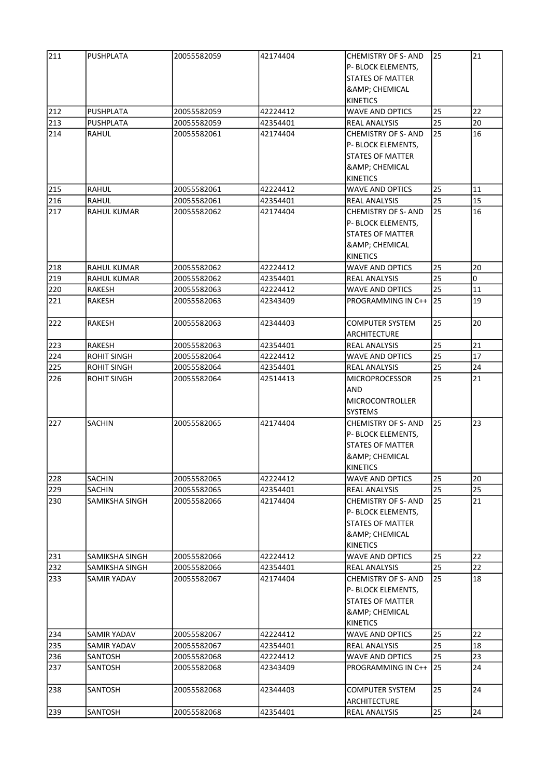| 211 | PUSHPLATA          | 20055582059 | 42174404 | <b>CHEMISTRY OF S- AND</b> | 25 | 21 |
|-----|--------------------|-------------|----------|----------------------------|----|----|
|     |                    |             |          | P- BLOCK ELEMENTS,         |    |    |
|     |                    |             |          | <b>STATES OF MATTER</b>    |    |    |
|     |                    |             |          | <b>&amp; CHEMICAL</b>      |    |    |
|     |                    |             |          | <b>KINETICS</b>            |    |    |
| 212 | PUSHPLATA          | 20055582059 | 42224412 | <b>WAVE AND OPTICS</b>     | 25 | 22 |
|     |                    |             |          |                            |    |    |
| 213 | PUSHPLATA          | 20055582059 | 42354401 | REAL ANALYSIS              | 25 | 20 |
| 214 | RAHUL              | 20055582061 | 42174404 | <b>CHEMISTRY OF S- AND</b> | 25 | 16 |
|     |                    |             |          | P- BLOCK ELEMENTS,         |    |    |
|     |                    |             |          | <b>STATES OF MATTER</b>    |    |    |
|     |                    |             |          | <b>&amp; CHEMICAL</b>      |    |    |
|     |                    |             |          | <b>KINETICS</b>            |    |    |
| 215 | <b>RAHUL</b>       | 20055582061 | 42224412 | <b>WAVE AND OPTICS</b>     | 25 | 11 |
| 216 | RAHUL              | 20055582061 | 42354401 | REAL ANALYSIS              | 25 | 15 |
| 217 | <b>RAHUL KUMAR</b> | 20055582062 | 42174404 | <b>CHEMISTRY OF S- AND</b> | 25 | 16 |
|     |                    |             |          | P- BLOCK ELEMENTS,         |    |    |
|     |                    |             |          | <b>STATES OF MATTER</b>    |    |    |
|     |                    |             |          | <b>&amp;</b> ; CHEMICAL    |    |    |
|     |                    |             |          | <b>KINETICS</b>            |    |    |
| 218 | RAHUL KUMAR        | 20055582062 | 42224412 | <b>WAVE AND OPTICS</b>     | 25 | 20 |
|     |                    |             | 42354401 | <b>REAL ANALYSIS</b>       | 25 | 0  |
| 219 | RAHUL KUMAR        | 20055582062 |          |                            |    |    |
| 220 | <b>RAKESH</b>      | 20055582063 | 42224412 | <b>WAVE AND OPTICS</b>     | 25 | 11 |
| 221 | RAKESH             | 20055582063 | 42343409 | PROGRAMMING IN C++ 25      |    | 19 |
| 222 | RAKESH             | 20055582063 | 42344403 | <b>COMPUTER SYSTEM</b>     | 25 | 20 |
|     |                    |             |          | ARCHITECTURE               |    |    |
| 223 | RAKESH             | 20055582063 | 42354401 | <b>REAL ANALYSIS</b>       | 25 | 21 |
|     |                    |             |          |                            |    |    |
| 224 | <b>ROHIT SINGH</b> | 20055582064 | 42224412 | <b>WAVE AND OPTICS</b>     | 25 | 17 |
| 225 | <b>ROHIT SINGH</b> | 20055582064 | 42354401 | REAL ANALYSIS              | 25 | 24 |
| 226 | <b>ROHIT SINGH</b> | 20055582064 | 42514413 | <b>MICROPROCESSOR</b>      | 25 | 21 |
|     |                    |             |          | AND                        |    |    |
|     |                    |             |          | MICROCONTROLLER            |    |    |
|     |                    |             |          | <b>SYSTEMS</b>             |    |    |
| 227 | <b>SACHIN</b>      | 20055582065 | 42174404 | <b>CHEMISTRY OF S- AND</b> | 25 | 23 |
|     |                    |             |          | P- BLOCK ELEMENTS,         |    |    |
|     |                    |             |          | <b>STATES OF MATTER</b>    |    |    |
|     |                    |             |          | <b>&amp; CHEMICAL</b>      |    |    |
|     |                    |             |          | KINETICS                   |    |    |
| 228 | <b>SACHIN</b>      | 20055582065 | 42224412 | <b>WAVE AND OPTICS</b>     | 25 | 20 |
| 229 | <b>SACHIN</b>      | 20055582065 | 42354401 | <b>REAL ANALYSIS</b>       | 25 | 25 |
|     | SAMIKSHA SINGH     | 20055582066 | 42174404 |                            | 25 | 21 |
| 230 |                    |             |          | <b>CHEMISTRY OF S- AND</b> |    |    |
|     |                    |             |          | P- BLOCK ELEMENTS,         |    |    |
|     |                    |             |          | <b>STATES OF MATTER</b>    |    |    |
|     |                    |             |          | <b>&amp; CHEMICAL</b>      |    |    |
|     |                    |             |          | <b>KINETICS</b>            |    |    |
| 231 | SAMIKSHA SINGH     | 20055582066 | 42224412 | <b>WAVE AND OPTICS</b>     | 25 | 22 |
| 232 | SAMIKSHA SINGH     | 20055582066 | 42354401 | <b>REAL ANALYSIS</b>       | 25 | 22 |
| 233 | SAMIR YADAV        | 20055582067 | 42174404 | <b>CHEMISTRY OF S- AND</b> | 25 | 18 |
|     |                    |             |          | P- BLOCK ELEMENTS,         |    |    |
|     |                    |             |          | <b>STATES OF MATTER</b>    |    |    |
|     |                    |             |          | <b>&amp; CHEMICAL</b>      |    |    |
|     |                    |             |          | KINETICS                   |    |    |
| 234 | SAMIR YADAV        | 20055582067 | 42224412 | <b>WAVE AND OPTICS</b>     | 25 | 22 |
| 235 | SAMIR YADAV        | 20055582067 | 42354401 | REAL ANALYSIS              | 25 | 18 |
|     |                    |             |          |                            |    |    |
| 236 | SANTOSH            | 20055582068 | 42224412 | <b>WAVE AND OPTICS</b>     | 25 | 23 |
| 237 | SANTOSH            | 20055582068 | 42343409 | PROGRAMMING IN C++ 25      |    | 24 |
|     |                    |             |          |                            |    |    |
| 238 | SANTOSH            | 20055582068 | 42344403 | <b>COMPUTER SYSTEM</b>     | 25 | 24 |
|     |                    |             |          | ARCHITECTURE               |    |    |
| 239 | SANTOSH            | 20055582068 | 42354401 | REAL ANALYSIS              | 25 | 24 |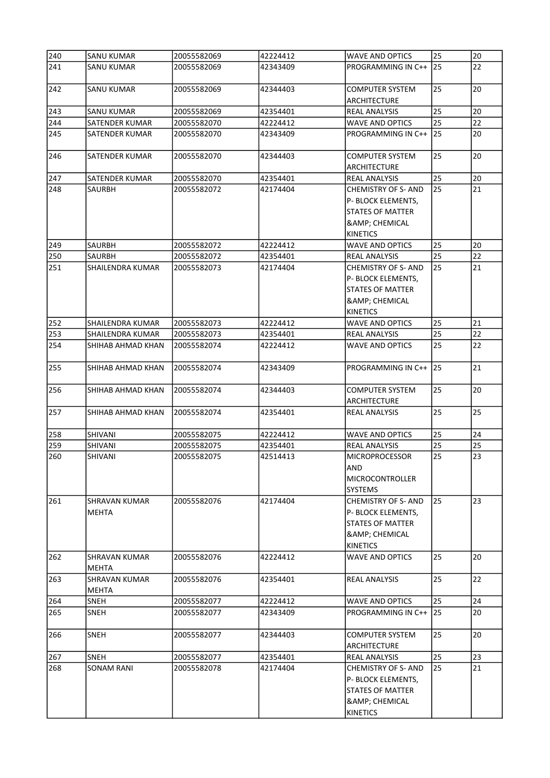| 240 | SANU KUMAR                           | 20055582069 | 42224412 | <b>WAVE AND OPTICS</b>                                                                                                  | 25 | 20 |
|-----|--------------------------------------|-------------|----------|-------------------------------------------------------------------------------------------------------------------------|----|----|
| 241 | SANU KUMAR                           | 20055582069 | 42343409 | PROGRAMMING IN C++                                                                                                      | 25 | 22 |
| 242 | <b>SANU KUMAR</b>                    | 20055582069 | 42344403 | <b>COMPUTER SYSTEM</b><br><b>ARCHITECTURE</b>                                                                           | 25 | 20 |
| 243 | <b>SANU KUMAR</b>                    | 20055582069 | 42354401 | <b>REAL ANALYSIS</b>                                                                                                    | 25 | 20 |
| 244 | SATENDER KUMAR                       | 20055582070 | 42224412 | <b>WAVE AND OPTICS</b>                                                                                                  | 25 | 22 |
| 245 | SATENDER KUMAR                       | 20055582070 | 42343409 | PROGRAMMING IN C++                                                                                                      | 25 | 20 |
| 246 | SATENDER KUMAR                       | 20055582070 | 42344403 | <b>COMPUTER SYSTEM</b><br>ARCHITECTURE                                                                                  | 25 | 20 |
| 247 | SATENDER KUMAR                       | 20055582070 | 42354401 | <b>REAL ANALYSIS</b>                                                                                                    | 25 | 20 |
| 248 | SAURBH                               | 20055582072 | 42174404 | <b>CHEMISTRY OF S- AND</b>                                                                                              | 25 | 21 |
|     |                                      |             |          | P- BLOCK ELEMENTS,<br><b>STATES OF MATTER</b><br><b>&amp; CHEMICAL</b><br><b>KINETICS</b>                               |    |    |
| 249 | SAURBH                               | 20055582072 | 42224412 | <b>WAVE AND OPTICS</b>                                                                                                  | 25 | 20 |
| 250 | <b>SAURBH</b>                        | 20055582072 | 42354401 | <b>REAL ANALYSIS</b>                                                                                                    | 25 | 22 |
| 251 | <b>SHAILENDRA KUMAR</b>              | 20055582073 | 42174404 | <b>CHEMISTRY OF S- AND</b><br>P- BLOCK ELEMENTS,<br><b>STATES OF MATTER</b><br><b>&amp; CHEMICAL</b><br><b>KINETICS</b> | 25 | 21 |
| 252 | SHAILENDRA KUMAR                     | 20055582073 | 42224412 | <b>WAVE AND OPTICS</b>                                                                                                  | 25 | 21 |
| 253 | <b>SHAILENDRA KUMAR</b>              | 20055582073 | 42354401 | <b>REAL ANALYSIS</b>                                                                                                    | 25 | 22 |
| 254 | SHIHAB AHMAD KHAN                    | 20055582074 | 42224412 | <b>WAVE AND OPTICS</b>                                                                                                  | 25 | 22 |
| 255 | SHIHAB AHMAD KHAN                    | 20055582074 | 42343409 | PROGRAMMING IN C++                                                                                                      | 25 | 21 |
| 256 | SHIHAB AHMAD KHAN                    | 20055582074 | 42344403 | COMPUTER SYSTEM<br><b>ARCHITECTURE</b>                                                                                  | 25 | 20 |
| 257 | SHIHAB AHMAD KHAN                    | 20055582074 | 42354401 | <b>REAL ANALYSIS</b>                                                                                                    | 25 | 25 |
| 258 | <b>SHIVANI</b>                       | 20055582075 | 42224412 | <b>WAVE AND OPTICS</b>                                                                                                  | 25 | 24 |
| 259 | SHIVANI                              | 20055582075 | 42354401 | <b>REAL ANALYSIS</b>                                                                                                    | 25 | 25 |
| 260 | SHIVANI                              | 20055582075 | 42514413 | <b>MICROPROCESSOR</b><br>AND<br><b>MICROCONTROLLER</b><br><b>SYSTEMS</b>                                                | 25 | 23 |
| 261 | <b>SHRAVAN KUMAR</b><br><b>MEHTA</b> | 20055582076 | 42174404 | <b>CHEMISTRY OF S- AND</b><br><b>P- BLOCK ELEMENTS.</b><br>STATES OF MATTER<br><b>&amp; CHEMICAL</b><br><b>KINETICS</b> | 25 | 23 |
| 262 | SHRAVAN KUMAR<br><b>MEHTA</b>        | 20055582076 | 42224412 | <b>WAVE AND OPTICS</b>                                                                                                  | 25 | 20 |
| 263 | SHRAVAN KUMAR<br><b>MEHTA</b>        | 20055582076 | 42354401 | <b>REAL ANALYSIS</b>                                                                                                    | 25 | 22 |
| 264 | SNEH                                 | 20055582077 | 42224412 | <b>WAVE AND OPTICS</b>                                                                                                  | 25 | 24 |
| 265 | SNEH                                 | 20055582077 | 42343409 | PROGRAMMING IN C++                                                                                                      | 25 | 20 |
| 266 | <b>SNEH</b>                          | 20055582077 | 42344403 | <b>COMPUTER SYSTEM</b><br>ARCHITECTURE                                                                                  | 25 | 20 |
| 267 | <b>SNEH</b>                          | 20055582077 | 42354401 | REAL ANALYSIS                                                                                                           | 25 | 23 |
| 268 | SONAM RANI                           | 20055582078 | 42174404 | <b>CHEMISTRY OF S- AND</b><br>P- BLOCK ELEMENTS,<br><b>STATES OF MATTER</b><br><b>&amp; CHEMICAL</b><br><b>KINETICS</b> | 25 | 21 |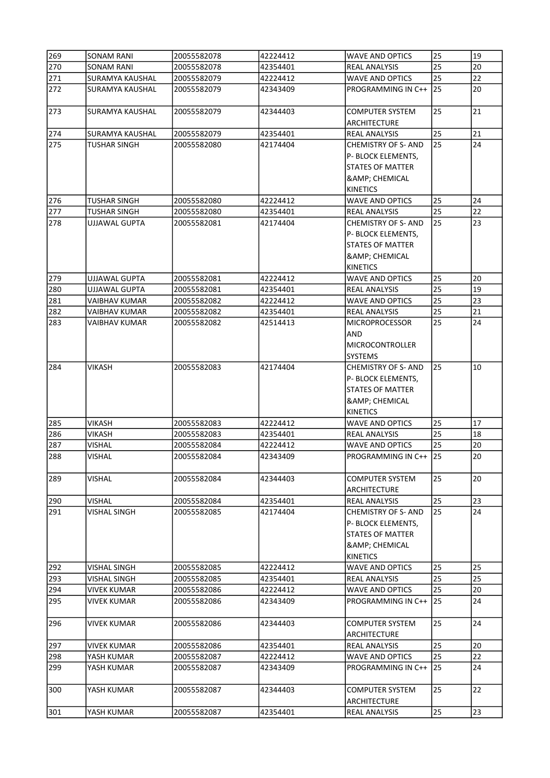| 269        | <b>SONAM RANI</b>      | 20055582078                | 42224412             | <b>WAVE AND OPTICS</b>                        | 25       | 19       |
|------------|------------------------|----------------------------|----------------------|-----------------------------------------------|----------|----------|
| 270        | SONAM RANI             | 20055582078                | 42354401             | REAL ANALYSIS                                 | 25       | 20       |
| 271        | <b>SURAMYA KAUSHAL</b> | 20055582079                | 42224412             | WAVE AND OPTICS                               | 25       | 22       |
| 272        | SURAMYA KAUSHAL        | 20055582079                | 42343409             | PROGRAMMING IN C++                            | 25       | 20       |
| 273        | SURAMYA KAUSHAL        | 20055582079                | 42344403             | <b>COMPUTER SYSTEM</b><br><b>ARCHITECTURE</b> | 25       | 21       |
| 274        | <b>SURAMYA KAUSHAL</b> | 20055582079                | 42354401             | REAL ANALYSIS                                 | 25       | 21       |
| 275        | TUSHAR SINGH           | 20055582080                | 42174404             | <b>CHEMISTRY OF S- AND</b>                    | 25       | 24       |
|            |                        |                            |                      | P- BLOCK ELEMENTS,                            |          |          |
|            |                        |                            |                      | <b>STATES OF MATTER</b>                       |          |          |
|            |                        |                            |                      | <b>&amp; CHEMICAL</b>                         |          |          |
|            |                        |                            |                      | <b>KINETICS</b>                               |          |          |
| 276        | TUSHAR SINGH           | 20055582080                | 42224412             | WAVE AND OPTICS                               | 25       | 24       |
| 277        | TUSHAR SINGH           | 20055582080                | 42354401             | REAL ANALYSIS                                 | 25       | 22       |
| 278        | UJJAWAL GUPTA          | 20055582081                | 42174404             | <b>CHEMISTRY OF S- AND</b>                    | 25       | 23       |
|            |                        |                            |                      | P- BLOCK ELEMENTS,                            |          |          |
|            |                        |                            |                      | <b>STATES OF MATTER</b>                       |          |          |
|            |                        |                            |                      | <b>&amp; CHEMICAL</b>                         |          |          |
|            |                        |                            |                      | <b>KINETICS</b>                               |          |          |
| 279        | UJJAWAL GUPTA          | 20055582081                | 42224412             | <b>WAVE AND OPTICS</b>                        | 25       | 20       |
| 280        | UJJAWAL GUPTA          | 20055582081                | 42354401             | REAL ANALYSIS                                 | 25       | 19       |
| 281        | VAIBHAV KUMAR          | 20055582082                | 42224412             | WAVE AND OPTICS                               | 25       | 23       |
| 282        | VAIBHAV KUMAR          | 20055582082                | 42354401             | REAL ANALYSIS                                 | 25       | 21       |
| 283        | VAIBHAV KUMAR          | 20055582082                | 42514413             | <b>MICROPROCESSOR</b>                         | 25       | 24       |
|            |                        |                            |                      | AND                                           |          |          |
|            |                        |                            |                      | <b>MICROCONTROLLER</b>                        |          |          |
|            |                        |                            |                      | <b>SYSTEMS</b>                                |          |          |
| 284        | <b>VIKASH</b>          | 20055582083                | 42174404             | <b>CHEMISTRY OF S- AND</b>                    | 25       | 10       |
|            |                        |                            |                      | P- BLOCK ELEMENTS,                            |          |          |
|            |                        |                            |                      | <b>STATES OF MATTER</b>                       |          |          |
|            |                        |                            |                      | <b>&amp; CHEMICAL</b>                         |          |          |
|            |                        |                            |                      | <b>KINETICS</b>                               |          |          |
| 285<br>286 | VIKASH<br>VIKASH       | 20055582083<br>20055582083 | 42224412<br>42354401 | WAVE AND OPTICS<br>REAL ANALYSIS              | 25<br>25 | 17<br>18 |
| 287        | VISHAL                 | 20055582084                | 42224412             | WAVE AND OPTICS                               | 25       | 20       |
| 288        | VISHAL                 | 20055582084                | 42343409             | PROGRAMMING IN C++                            | 25       | 20       |
|            |                        |                            |                      |                                               |          |          |
| 289        | VISHAL                 | 20055582084                | 42344403             | COMPUTER SYSTEM                               | 25       | 20       |
|            |                        |                            |                      | ARCHITECTURE                                  |          |          |
| 290        | VISHAL                 | 20055582084                | 42354401             | <b>REAL ANALYSIS</b>                          | 25       | 23       |
| 291        | VISHAL SINGH           | 20055582085                | 42174404             | <b>CHEMISTRY OF S- AND</b>                    | 25       | 24       |
|            |                        |                            |                      | P- BLOCK ELEMENTS,                            |          |          |
|            |                        |                            |                      | <b>STATES OF MATTER</b>                       |          |          |
|            |                        |                            |                      | <b>&amp; CHEMICAL</b><br><b>KINETICS</b>      |          |          |
| 292        | VISHAL SINGH           | 20055582085                | 42224412             | <b>WAVE AND OPTICS</b>                        | 25       | 25       |
| 293        | VISHAL SINGH           | 20055582085                | 42354401             | <b>REAL ANALYSIS</b>                          | 25       | 25       |
| 294        | VIVEK KUMAR            | 20055582086                | 42224412             | WAVE AND OPTICS                               | 25       | 20       |
| 295        | VIVEK KUMAR            | 20055582086                | 42343409             | PROGRAMMING IN C++                            | 25       | 24       |
|            |                        |                            |                      |                                               |          |          |
| 296        | <b>VIVEK KUMAR</b>     | 20055582086                | 42344403             | <b>COMPUTER SYSTEM</b><br><b>ARCHITECTURE</b> | 25       | 24       |
| 297        | <b>VIVEK KUMAR</b>     | 20055582086                | 42354401             | <b>REAL ANALYSIS</b>                          | 25       | 20       |
| 298        | YASH KUMAR             | 20055582087                | 42224412             | <b>WAVE AND OPTICS</b>                        | 25       | 22       |
| 299        | YASH KUMAR             | 20055582087                | 42343409             | PROGRAMMING IN C++                            | 25       | 24       |
| 300        | YASH KUMAR             | 20055582087                | 42344403             | <b>COMPUTER SYSTEM</b>                        | 25       | 22       |
|            |                        |                            |                      | <b>ARCHITECTURE</b>                           |          |          |
| 301        | YASH KUMAR             | 20055582087                | 42354401             | <b>REAL ANALYSIS</b>                          | 25       | 23       |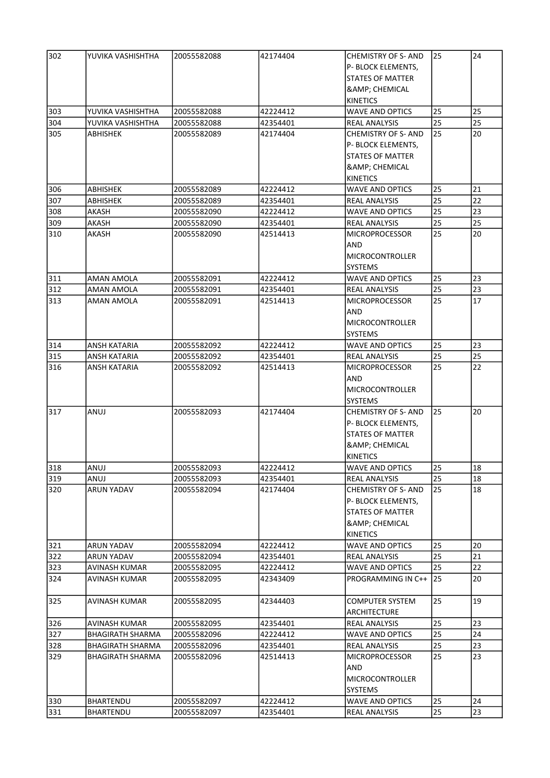| 302 | YUVIKA VASHISHTHA       | 20055582088 | 42174404 | <b>CHEMISTRY OF S- AND</b> | 25 | 24 |
|-----|-------------------------|-------------|----------|----------------------------|----|----|
|     |                         |             |          | P- BLOCK ELEMENTS,         |    |    |
|     |                         |             |          | <b>STATES OF MATTER</b>    |    |    |
|     |                         |             |          | <b>&amp; CHEMICAL</b>      |    |    |
|     |                         |             |          | <b>KINETICS</b>            |    |    |
| 303 | YUVIKA VASHISHTHA       | 20055582088 | 42224412 | <b>WAVE AND OPTICS</b>     | 25 | 25 |
|     |                         |             |          |                            |    |    |
| 304 | YUVIKA VASHISHTHA       | 20055582088 | 42354401 | REAL ANALYSIS              | 25 | 25 |
| 305 | ABHISHEK                | 20055582089 | 42174404 | <b>CHEMISTRY OF S- AND</b> | 25 | 20 |
|     |                         |             |          | P- BLOCK ELEMENTS,         |    |    |
|     |                         |             |          | STATES OF MATTER           |    |    |
|     |                         |             |          | <b>&amp; CHEMICAL</b>      |    |    |
|     |                         |             |          | <b>KINETICS</b>            |    |    |
| 306 | ABHISHEK                | 20055582089 | 42224412 | <b>WAVE AND OPTICS</b>     | 25 | 21 |
| 307 | ABHISHEK                | 20055582089 | 42354401 | REAL ANALYSIS              | 25 | 22 |
| 308 | AKASH                   | 20055582090 | 42224412 | <b>WAVE AND OPTICS</b>     | 25 | 23 |
| 309 | AKASH                   | 20055582090 | 42354401 | REAL ANALYSIS              | 25 | 25 |
| 310 | AKASH                   | 20055582090 | 42514413 | <b>MICROPROCESSOR</b>      | 25 | 20 |
|     |                         |             |          | AND                        |    |    |
|     |                         |             |          | MICROCONTROLLER            |    |    |
|     |                         |             |          | <b>SYSTEMS</b>             |    |    |
| 311 | AMAN AMOLA              | 20055582091 | 42224412 | <b>WAVE AND OPTICS</b>     | 25 | 23 |
| 312 | AMAN AMOLA              | 20055582091 | 42354401 | <b>REAL ANALYSIS</b>       | 25 | 23 |
|     |                         |             |          |                            |    |    |
| 313 | AMAN AMOLA              | 20055582091 | 42514413 | <b>MICROPROCESSOR</b>      | 25 | 17 |
|     |                         |             |          | AND                        |    |    |
|     |                         |             |          | <b>MICROCONTROLLER</b>     |    |    |
|     |                         |             |          | <b>SYSTEMS</b>             |    |    |
| 314 | ANSH KATARIA            | 20055582092 | 42224412 | <b>WAVE AND OPTICS</b>     | 25 | 23 |
| 315 | ANSH KATARIA            | 20055582092 | 42354401 | <b>REAL ANALYSIS</b>       | 25 | 25 |
| 316 | ANSH KATARIA            | 20055582092 | 42514413 | <b>MICROPROCESSOR</b>      | 25 | 22 |
|     |                         |             |          | IAND.                      |    |    |
|     |                         |             |          | MICROCONTROLLER            |    |    |
|     |                         |             |          | <b>SYSTEMS</b>             |    |    |
| 317 | ANUJ                    | 20055582093 | 42174404 | <b>CHEMISTRY OF S- AND</b> | 25 | 20 |
|     |                         |             |          | P- BLOCK ELEMENTS,         |    |    |
|     |                         |             |          | STATES OF MATTER           |    |    |
|     |                         |             |          | <b>&amp; CHEMICAL</b>      |    |    |
|     |                         |             |          | <b>KINETICS</b>            |    |    |
| 318 | lanuj                   | 20055582093 | 42224412 | <b>WAVE AND OPTICS</b>     | 25 | 18 |
|     | ANUJ                    | 20055582093 | 42354401 |                            | 25 | 18 |
| 319 |                         |             |          | <b>REAL ANALYSIS</b>       |    |    |
| 320 | ARUN YADAV              | 20055582094 | 42174404 | <b>CHEMISTRY OF S- AND</b> | 25 | 18 |
|     |                         |             |          | P- BLOCK ELEMENTS,         |    |    |
|     |                         |             |          | <b>STATES OF MATTER</b>    |    |    |
|     |                         |             |          | <b>&amp; CHEMICAL</b>      |    |    |
|     |                         |             |          | <b>KINETICS</b>            |    |    |
| 321 | ARUN YADAV              | 20055582094 | 42224412 | <b>WAVE AND OPTICS</b>     | 25 | 20 |
| 322 | ARUN YADAV              | 20055582094 | 42354401 | REAL ANALYSIS              | 25 | 21 |
| 323 | <b>AVINASH KUMAR</b>    | 20055582095 | 42224412 | WAVE AND OPTICS            | 25 | 22 |
| 324 | AVINASH KUMAR           | 20055582095 | 42343409 | PROGRAMMING IN C++         | 25 | 20 |
|     |                         |             |          |                            |    |    |
| 325 | AVINASH KUMAR           | 20055582095 | 42344403 | <b>COMPUTER SYSTEM</b>     | 25 | 19 |
|     |                         |             |          | <b>ARCHITECTURE</b>        |    |    |
| 326 | AVINASH KUMAR           | 20055582095 | 42354401 | <b>REAL ANALYSIS</b>       | 25 | 23 |
| 327 | <b>BHAGIRATH SHARMA</b> | 20055582096 | 42224412 | <b>WAVE AND OPTICS</b>     | 25 | 24 |
|     |                         |             |          |                            | 25 | 23 |
| 328 | <b>BHAGIRATH SHARMA</b> | 20055582096 | 42354401 | <b>REAL ANALYSIS</b>       |    |    |
| 329 | <b>BHAGIRATH SHARMA</b> | 20055582096 | 42514413 | <b>MICROPROCESSOR</b>      | 25 | 23 |
|     |                         |             |          | <b>AND</b>                 |    |    |
|     |                         |             |          | <b>MICROCONTROLLER</b>     |    |    |
|     |                         |             |          | <b>SYSTEMS</b>             |    |    |
| 330 | <b>BHARTENDU</b>        | 20055582097 | 42224412 | <b>WAVE AND OPTICS</b>     | 25 | 24 |
| 331 | <b>BHARTENDU</b>        | 20055582097 | 42354401 | <b>REAL ANALYSIS</b>       | 25 | 23 |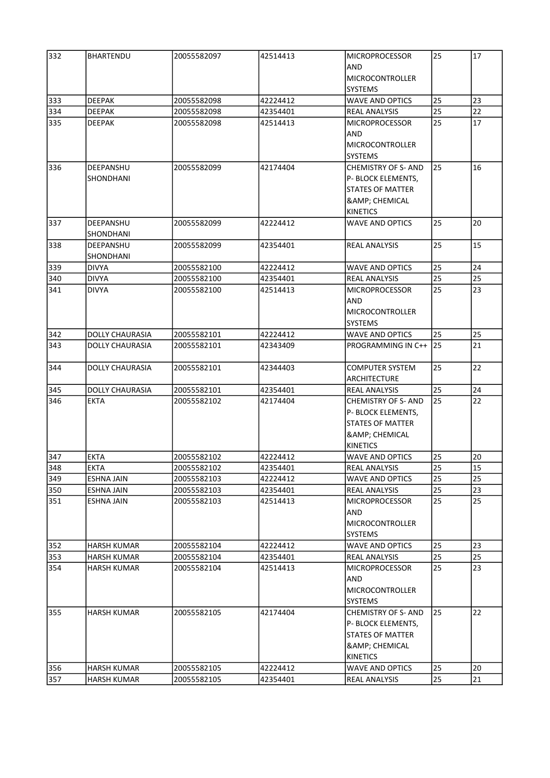| 332 | <b>BHARTENDU</b>       | 20055582097 | 42514413 | <b>MICROPROCESSOR</b>      | 25 | 17 |
|-----|------------------------|-------------|----------|----------------------------|----|----|
|     |                        |             |          | AND                        |    |    |
|     |                        |             |          | MICROCONTROLLER            |    |    |
|     |                        |             |          | <b>SYSTEMS</b>             |    |    |
| 333 | <b>DEEPAK</b>          | 20055582098 | 42224412 | <b>WAVE AND OPTICS</b>     | 25 | 23 |
| 334 | <b>DEEPAK</b>          | 20055582098 | 42354401 | <b>REAL ANALYSIS</b>       | 25 | 22 |
| 335 | DEEPAK                 | 20055582098 | 42514413 | <b>MICROPROCESSOR</b>      | 25 | 17 |
|     |                        |             |          | AND                        |    |    |
|     |                        |             |          | <b>MICROCONTROLLER</b>     |    |    |
|     |                        |             |          | <b>SYSTEMS</b>             |    |    |
| 336 | DEEPANSHU              | 20055582099 | 42174404 | <b>CHEMISTRY OF S- AND</b> | 25 | 16 |
|     | SHONDHANI              |             |          | P- BLOCK ELEMENTS,         |    |    |
|     |                        |             |          | <b>STATES OF MATTER</b>    |    |    |
|     |                        |             |          | <b>&amp; CHEMICAL</b>      |    |    |
|     |                        |             |          | <b>KINETICS</b>            |    |    |
| 337 | DEEPANSHU              | 20055582099 | 42224412 | <b>WAVE AND OPTICS</b>     | 25 | 20 |
|     | SHONDHANI              |             |          |                            |    |    |
| 338 | DEEPANSHU              | 20055582099 | 42354401 | <b>REAL ANALYSIS</b>       | 25 | 15 |
|     | SHONDHANI              |             |          |                            |    |    |
| 339 | <b>DIVYA</b>           | 20055582100 | 42224412 | <b>WAVE AND OPTICS</b>     | 25 | 24 |
| 340 | <b>DIVYA</b>           | 20055582100 | 42354401 | <b>REAL ANALYSIS</b>       | 25 | 25 |
| 341 | <b>DIVYA</b>           | 20055582100 | 42514413 | <b>MICROPROCESSOR</b>      | 25 | 23 |
|     |                        |             |          | AND                        |    |    |
|     |                        |             |          | MICROCONTROLLER            |    |    |
|     |                        |             |          | <b>SYSTEMS</b>             |    |    |
| 342 | <b>DOLLY CHAURASIA</b> | 20055582101 | 42224412 | <b>WAVE AND OPTICS</b>     | 25 | 25 |
| 343 | <b>DOLLY CHAURASIA</b> | 20055582101 | 42343409 | PROGRAMMING IN C++         | 25 | 21 |
|     |                        |             |          |                            |    |    |
| 344 | <b>DOLLY CHAURASIA</b> | 20055582101 | 42344403 | COMPUTER SYSTEM            | 25 | 22 |
|     |                        |             |          | ARCHITECTURE               |    |    |
| 345 | <b>DOLLY CHAURASIA</b> | 20055582101 | 42354401 | <b>REAL ANALYSIS</b>       | 25 | 24 |
| 346 | EKTA                   | 20055582102 | 42174404 | <b>CHEMISTRY OF S- AND</b> | 25 | 22 |
|     |                        |             |          | P- BLOCK ELEMENTS,         |    |    |
|     |                        |             |          | <b>STATES OF MATTER</b>    |    |    |
|     |                        |             |          | <b>&amp; CHEMICAL</b>      |    |    |
|     |                        |             |          | KINETICS                   |    |    |
| 347 | <b>EKTA</b>            | 20055582102 | 42224412 | <b>WAVE AND OPTICS</b>     | 25 | 20 |
| 348 | <b>EKTA</b>            | 20055582102 | 42354401 | <b>REAL ANALYSIS</b>       | 25 | 15 |
| 349 | <b>ESHNA JAIN</b>      | 20055582103 | 42224412 | <b>WAVE AND OPTICS</b>     | 25 | 25 |
| 350 | <b>ESHNA JAIN</b>      | 20055582103 | 42354401 | <b>REAL ANALYSIS</b>       | 25 | 23 |
| 351 | ESHNA JAIN             | 20055582103 | 42514413 | <b>MICROPROCESSOR</b>      | 25 | 25 |
|     |                        |             |          | AND                        |    |    |
|     |                        |             |          | <b>MICROCONTROLLER</b>     |    |    |
|     |                        |             |          | <b>SYSTEMS</b>             |    |    |
| 352 | HARSH KUMAR            | 20055582104 | 42224412 | WAVE AND OPTICS            | 25 | 23 |
| 353 | HARSH KUMAR            | 20055582104 | 42354401 | <b>REAL ANALYSIS</b>       | 25 | 25 |
| 354 |                        | 20055582104 |          | <b>MICROPROCESSOR</b>      | 25 | 23 |
|     | HARSH KUMAR            |             | 42514413 |                            |    |    |
|     |                        |             |          | AND                        |    |    |
|     |                        |             |          | <b>MICROCONTROLLER</b>     |    |    |
|     |                        |             |          | <b>SYSTEMS</b>             |    |    |
| 355 | <b>HARSH KUMAR</b>     | 20055582105 | 42174404 | <b>CHEMISTRY OF S- AND</b> | 25 | 22 |
|     |                        |             |          | P- BLOCK ELEMENTS,         |    |    |
|     |                        |             |          | STATES OF MATTER           |    |    |
|     |                        |             |          | <b>&amp; CHEMICAL</b>      |    |    |
|     |                        |             |          | <b>KINETICS</b>            |    |    |
| 356 | <b>HARSH KUMAR</b>     | 20055582105 | 42224412 | <b>WAVE AND OPTICS</b>     | 25 | 20 |
| 357 | <b>HARSH KUMAR</b>     | 20055582105 | 42354401 | <b>REAL ANALYSIS</b>       | 25 | 21 |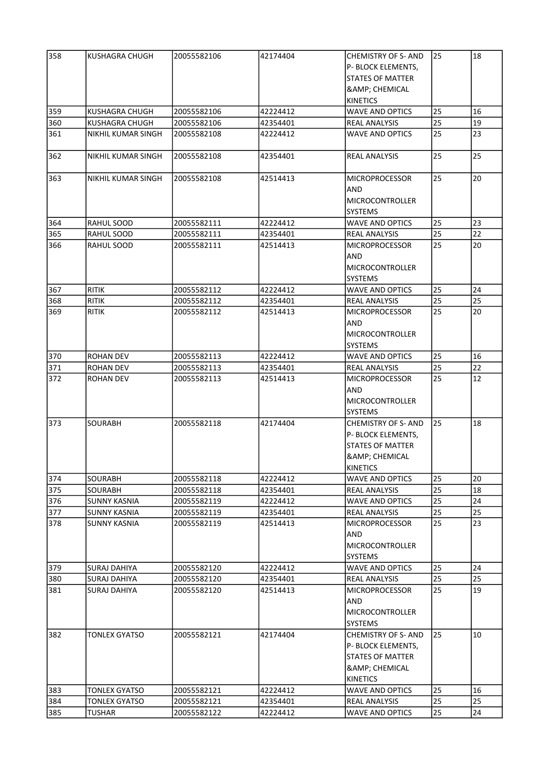| 358 | KUSHAGRA CHUGH            | 20055582106 | 42174404 | CHEMISTRY OF S- AND          | 25 | 18 |
|-----|---------------------------|-------------|----------|------------------------------|----|----|
|     |                           |             |          | P- BLOCK ELEMENTS,           |    |    |
|     |                           |             |          | <b>STATES OF MATTER</b>      |    |    |
|     |                           |             |          | <b>&amp; CHEMICAL</b>        |    |    |
|     |                           |             |          | <b>KINETICS</b>              |    |    |
| 359 | KUSHAGRA CHUGH            | 20055582106 | 42224412 | <b>WAVE AND OPTICS</b>       | 25 | 16 |
| 360 | KUSHAGRA CHUGH            | 20055582106 | 42354401 | REAL ANALYSIS                | 25 | 19 |
| 361 | NIKHIL KUMAR SINGH        | 20055582108 | 42224412 | <b>WAVE AND OPTICS</b>       | 25 | 23 |
|     |                           |             |          |                              |    |    |
| 362 | <b>NIKHIL KUMAR SINGH</b> | 20055582108 | 42354401 | REAL ANALYSIS                | 25 | 25 |
| 363 | <b>NIKHIL KUMAR SINGH</b> | 20055582108 | 42514413 | <b>MICROPROCESSOR</b><br>AND | 25 | 20 |
|     |                           |             |          | <b>MICROCONTROLLER</b>       |    |    |
|     |                           |             |          |                              |    |    |
|     |                           |             |          | <b>SYSTEMS</b>               |    |    |
| 364 | RAHUL SOOD                | 20055582111 | 42224412 | <b>WAVE AND OPTICS</b>       | 25 | 23 |
| 365 | RAHUL SOOD                | 20055582111 | 42354401 | <b>REAL ANALYSIS</b>         | 25 | 22 |
| 366 | RAHUL SOOD                | 20055582111 | 42514413 | <b>MICROPROCESSOR</b>        | 25 | 20 |
|     |                           |             |          | AND                          |    |    |
|     |                           |             |          | <b>MICROCONTROLLER</b>       |    |    |
|     |                           |             |          | <b>SYSTEMS</b>               |    |    |
| 367 | <b>RITIK</b>              | 20055582112 | 42224412 | <b>WAVE AND OPTICS</b>       | 25 | 24 |
| 368 | <b>RITIK</b>              | 20055582112 | 42354401 | <b>REAL ANALYSIS</b>         | 25 | 25 |
| 369 | <b>RITIK</b>              | 20055582112 | 42514413 | <b>MICROPROCESSOR</b>        | 25 | 20 |
|     |                           |             |          | AND                          |    |    |
|     |                           |             |          | MICROCONTROLLER              |    |    |
|     |                           |             |          | <b>SYSTEMS</b>               |    |    |
| 370 | ROHAN DEV                 | 20055582113 | 42224412 | <b>WAVE AND OPTICS</b>       | 25 | 16 |
| 371 | <b>ROHAN DEV</b>          | 20055582113 | 42354401 | REAL ANALYSIS                | 25 | 22 |
| 372 | <b>ROHAN DEV</b>          | 20055582113 | 42514413 | <b>MICROPROCESSOR</b>        | 25 | 12 |
|     |                           |             |          | AND                          |    |    |
|     |                           |             |          |                              |    |    |
|     |                           |             |          | <b>MICROCONTROLLER</b>       |    |    |
|     |                           |             |          | <b>SYSTEMS</b>               |    |    |
| 373 | SOURABH                   | 20055582118 | 42174404 | <b>CHEMISTRY OF S-AND</b>    | 25 | 18 |
|     |                           |             |          | P- BLOCK ELEMENTS,           |    |    |
|     |                           |             |          | <b>STATES OF MATTER</b>      |    |    |
|     |                           |             |          | <b>&amp; CHEMICAL</b>        |    |    |
|     |                           |             |          | KINETICS                     |    |    |
| 374 | SOURABH                   | 20055582118 | 42224412 | <b>WAVE AND OPTICS</b>       | 25 | 20 |
| 375 | <b>SOURABH</b>            | 20055582118 | 42354401 | <b>REAL ANALYSIS</b>         | 25 | 18 |
| 376 | <b>SUNNY KASNIA</b>       | 20055582119 | 42224412 | <b>WAVE AND OPTICS</b>       | 25 | 24 |
| 377 | <b>SUNNY KASNIA</b>       | 20055582119 | 42354401 | <b>REAL ANALYSIS</b>         | 25 | 25 |
| 378 | SUNNY KASNIA              | 20055582119 | 42514413 | <b>MICROPROCESSOR</b>        | 25 | 23 |
|     |                           |             |          | AND                          |    |    |
|     |                           |             |          | <b>MICROCONTROLLER</b>       |    |    |
|     |                           |             |          | <b>SYSTEMS</b>               |    |    |
|     | <b>SURAJ DAHIYA</b>       | 20055582120 | 42224412 | <b>WAVE AND OPTICS</b>       | 25 | 24 |
| 379 |                           |             |          |                              |    |    |
| 380 | <b>SURAJ DAHIYA</b>       | 20055582120 | 42354401 | <b>REAL ANALYSIS</b>         | 25 | 25 |
| 381 | <b>SURAJ DAHIYA</b>       | 20055582120 | 42514413 | <b>MICROPROCESSOR</b>        | 25 | 19 |
|     |                           |             |          | <b>AND</b>                   |    |    |
|     |                           |             |          | <b>MICROCONTROLLER</b>       |    |    |
|     |                           |             |          | <b>SYSTEMS</b>               |    |    |
| 382 | <b>TONLEX GYATSO</b>      | 20055582121 | 42174404 | <b>CHEMISTRY OF S- AND</b>   | 25 | 10 |
|     |                           |             |          | P- BLOCK ELEMENTS,           |    |    |
|     |                           |             |          | STATES OF MATTER             |    |    |
|     |                           |             |          | <b>&amp; CHEMICAL</b>        |    |    |
|     |                           |             |          | KINETICS                     |    |    |
| 383 | <b>TONLEX GYATSO</b>      | 20055582121 | 42224412 | <b>WAVE AND OPTICS</b>       | 25 | 16 |
| 384 | <b>TONLEX GYATSO</b>      | 20055582121 | 42354401 | REAL ANALYSIS                | 25 | 25 |
| 385 | <b>TUSHAR</b>             | 20055582122 | 42224412 | <b>WAVE AND OPTICS</b>       | 25 | 24 |
|     |                           |             |          |                              |    |    |